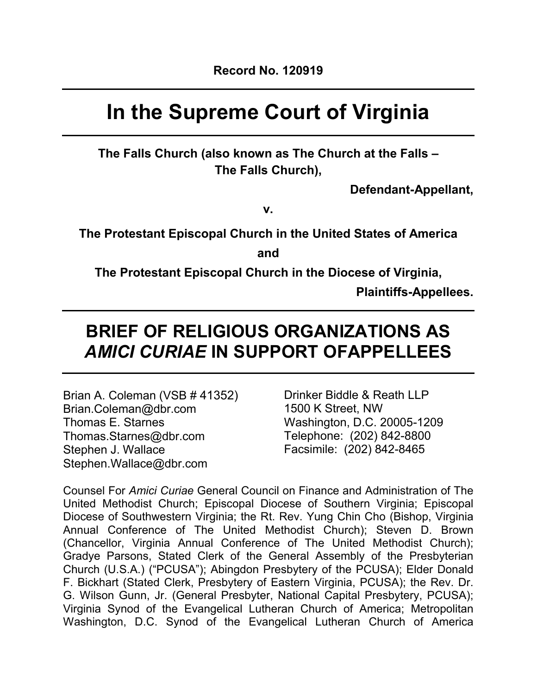# **In the Supreme Court of Virginia**

**The Falls Church (also known as The Church at the Falls – The Falls Church),**

**Defendant-Appellant,**

**v.**

**The Protestant Episcopal Church in the United States of America**

**and**

**The Protestant Episcopal Church in the Diocese of Virginia,**

**Plaintiffs-Appellees.**

# **BRIEF OF RELIGIOUS ORGANIZATIONS AS** *AMICI CURIAE* **IN SUPPORT OFAPPELLEES**

Brian A. Coleman (VSB # 41352) Brian.Coleman@dbr.com Thomas E. Starnes Thomas.Starnes@dbr.com Stephen J. Wallace Stephen.Wallace@dbr.com

Drinker Biddle & Reath LLP 1500 K Street, NW Washington, D.C. 20005-1209 Telephone: (202) 842-8800 Facsimile: (202) 842-8465

Counsel For *Amici Curiae* General Council on Finance and Administration of The United Methodist Church; Episcopal Diocese of Southern Virginia; Episcopal Diocese of Southwestern Virginia; the Rt. Rev. Yung Chin Cho (Bishop, Virginia Annual Conference of The United Methodist Church); Steven D. Brown (Chancellor, Virginia Annual Conference of The United Methodist Church); Gradye Parsons, Stated Clerk of the General Assembly of the Presbyterian Church (U.S.A.) ("PCUSA"); Abingdon Presbytery of the PCUSA); Elder Donald F. Bickhart (Stated Clerk, Presbytery of Eastern Virginia, PCUSA); the Rev. Dr. G. Wilson Gunn, Jr. (General Presbyter, National Capital Presbytery, PCUSA); Virginia Synod of the Evangelical Lutheran Church of America; Metropolitan Washington, D.C. Synod of the Evangelical Lutheran Church of America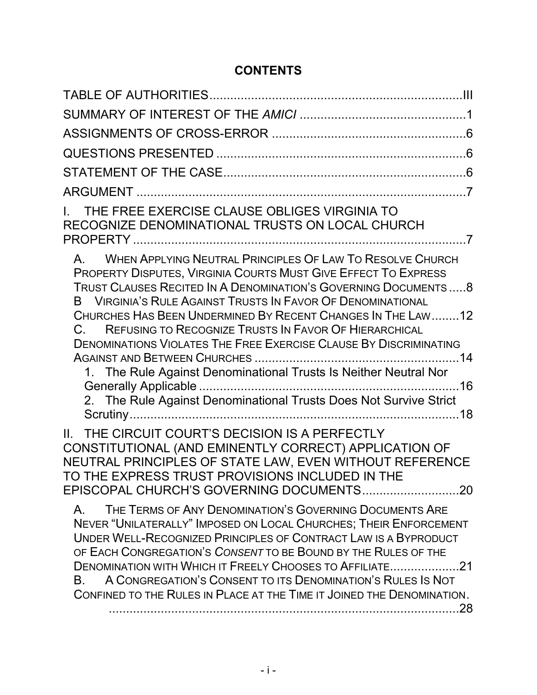# **CONTENTS**

| THE FREE EXERCISE CLAUSE OBLIGES VIRGINIA TO<br>RECOGNIZE DENOMINATIONAL TRUSTS ON LOCAL CHURCH                                                                                                                                                                                                                                                                                                                                                                                                                                                                                                                              |
|------------------------------------------------------------------------------------------------------------------------------------------------------------------------------------------------------------------------------------------------------------------------------------------------------------------------------------------------------------------------------------------------------------------------------------------------------------------------------------------------------------------------------------------------------------------------------------------------------------------------------|
| WHEN APPLYING NEUTRAL PRINCIPLES OF LAW TO RESOLVE CHURCH<br>$A_{-}$<br>PROPERTY DISPUTES, VIRGINIA COURTS MUST GIVE EFFECT TO EXPRESS<br>TRUST CLAUSES RECITED IN A DENOMINATION'S GOVERNING DOCUMENTS8<br>B VIRGINIA'S RULE AGAINST TRUSTS IN FAVOR OF DENOMINATIONAL<br>CHURCHES HAS BEEN UNDERMINED BY RECENT CHANGES IN THE LAW12<br>REFUSING TO RECOGNIZE TRUSTS IN FAVOR OF HIERARCHICAL<br>$C_{\cdot}$<br>DENOMINATIONS VIOLATES THE FREE EXERCISE CLAUSE BY DISCRIMINATING<br>1. The Rule Against Denominational Trusts Is Neither Neutral Nor<br>2. The Rule Against Denominational Trusts Does Not Survive Strict |
| THE CIRCUIT COURT'S DECISION IS A PERFECTLY<br>$\mathbf{II}$ .<br>CONSTITUTIONAL (AND EMINENTLY CORRECT) APPLICATION OF<br>NEUTRAL PRINCIPLES OF STATE LAW, EVEN WITHOUT REFERENCE<br>TO THE EXPRESS TRUST PROVISIONS INCLUDED IN THE                                                                                                                                                                                                                                                                                                                                                                                        |
| THE TERMS OF ANY DENOMINATION'S GOVERNING DOCUMENTS ARE<br>A.<br>NEVER "UNILATERALLY" IMPOSED ON LOCAL CHURCHES; THEIR ENFORCEMENT<br>UNDER WELL-RECOGNIZED PRINCIPLES OF CONTRACT LAW IS A BYPRODUCT<br>OF EACH CONGREGATION'S CONSENT TO BE BOUND BY THE RULES OF THE<br>DENOMINATION WITH WHICH IT FREELY CHOOSES TO AFFILIATE21<br>A CONGREGATION'S CONSENT TO ITS DENOMINATION'S RULES IS NOT<br>B.<br>CONFINED TO THE RULES IN PLACE AT THE TIME IT JOINED THE DENOMINATION.                                                                                                                                           |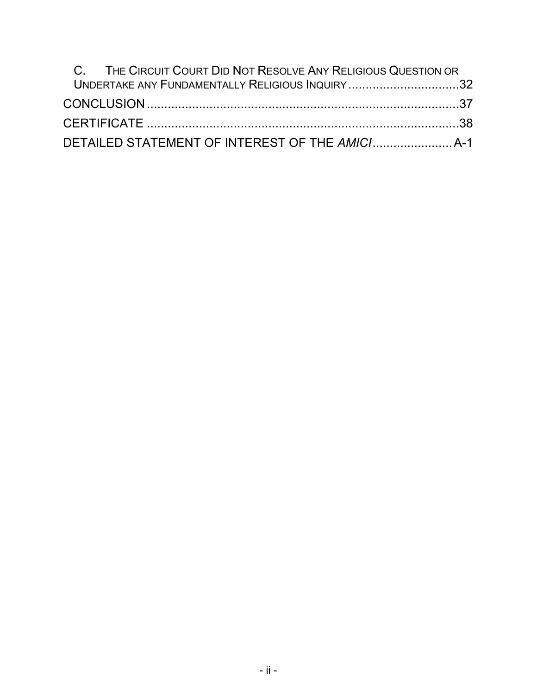| C. THE CIRCUIT COURT DID NOT RESOLVE ANY RELIGIOUS QUESTION OR |  |
|----------------------------------------------------------------|--|
| UNDERTAKE ANY FUNDAMENTALLY RELIGIOUS INQUIRY 32               |  |
|                                                                |  |
|                                                                |  |
|                                                                |  |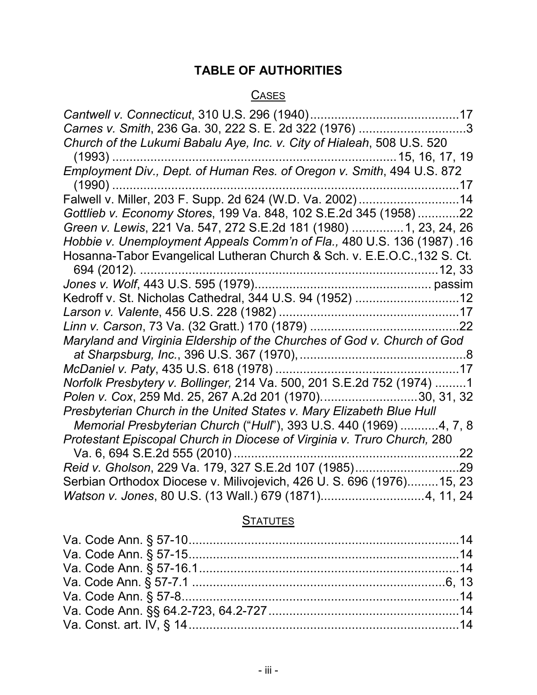# **TABLE OF AUTHORITIES**

# **CASES**

| Carnes v. Smith, 236 Ga. 30, 222 S. E. 2d 322 (1976) 3                   |
|--------------------------------------------------------------------------|
| Church of the Lukumi Babalu Aye, Inc. v. City of Hialeah, 508 U.S. 520   |
|                                                                          |
|                                                                          |
| $(1990)$                                                                 |
| Falwell v. Miller, 203 F. Supp. 2d 624 (W.D. Va. 2002) 14                |
| Gottlieb v. Economy Stores, 199 Va. 848, 102 S.E.2d 345 (1958)22         |
| Green v. Lewis, 221 Va. 547, 272 S.E.2d 181 (1980)  1, 23, 24, 26        |
| Hobbie v. Unemployment Appeals Comm'n of Fla., 480 U.S. 136 (1987). 16   |
| Hosanna-Tabor Evangelical Lutheran Church & Sch. v. E.E.O.C., 132 S. Ct. |
| 694 (2012).                                                              |
|                                                                          |
| Kedroff v. St. Nicholas Cathedral, 344 U.S. 94 (1952) 12                 |
|                                                                          |
|                                                                          |
| Maryland and Virginia Eldership of the Churches of God v. Church of God  |
|                                                                          |
|                                                                          |
| Norfolk Presbytery v. Bollinger, 214 Va. 500, 201 S.E.2d 752 (1974) 1    |
| Polen v. Cox, 259 Md. 25, 267 A.2d 201 (1970)30, 31, 32                  |
| Presbyterian Church in the United States v. Mary Elizabeth Blue Hull     |
| Memorial Presbyterian Church ("Hull"), 393 U.S. 440 (1969) 4, 7, 8       |
| Protestant Episcopal Church in Diocese of Virginia v. Truro Church, 280  |
| Va. 6, 694 S.E.2d 555 (2010)<br>.22                                      |
|                                                                          |
| Serbian Orthodox Diocese v. Milivojevich, 426 U. S. 696 (1976)15, 23     |
| Watson v. Jones, 80 U.S. (13 Wall.) 679 (1871)4, 11, 24                  |

# **STATUTES**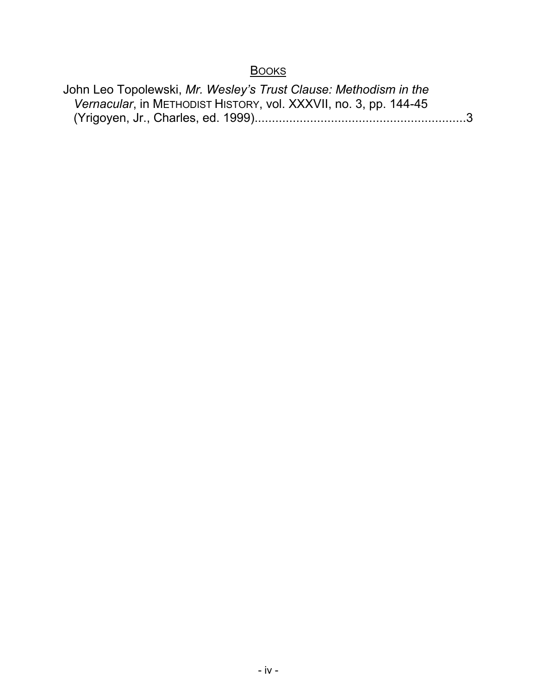# **BOOKS**

| John Leo Topolewski, Mr. Wesley's Trust Clause: Methodism in the |  |
|------------------------------------------------------------------|--|
| Vernacular, in METHODIST HISTORY, vol. XXXVII, no. 3, pp. 144-45 |  |
|                                                                  |  |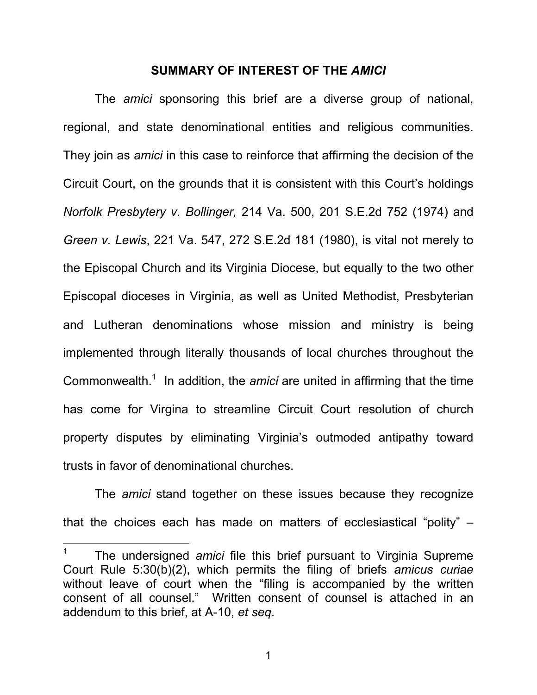#### **SUMMARY OF INTEREST OF THE** *AMICI*

The *amici* sponsoring this brief are a diverse group of national, regional, and state denominational entities and religious communities. They join as *amici* in this case to reinforce that affirming the decision of the Circuit Court, on the grounds that it is consistent with this Court's holdings *Norfolk Presbytery v. Bollinger,* 214 Va. 500, 201 S.E.2d 752 (1974) and *Green v. Lewis*, 221 Va. 547, 272 S.E.2d 181 (1980), is vital not merely to the Episcopal Church and its Virginia Diocese, but equally to the two other Episcopal dioceses in Virginia, as well as United Methodist, Presbyterian and Lutheran denominations whose mission and ministry is being implemented through literally thousands of local churches throughout the Commonwealth.<sup>1</sup> In addition, the *amici* are united in affirming that the time has come for Virgina to streamline Circuit Court resolution of church property disputes by eliminating Virginia's outmoded antipathy toward trusts in favor of denominational churches.

The *amici* stand together on these issues because they recognize that the choices each has made on matters of ecclesiastical "polity" –

 $\overline{a}$ 

<sup>1</sup> The undersigned *amici* file this brief pursuant to Virginia Supreme Court Rule 5:30(b)(2), which permits the filing of briefs *amicus curiae*  without leave of court when the "filing is accompanied by the written consent of all counsel." Written consent of counsel is attached in an addendum to this brief, at A-10, *et seq*.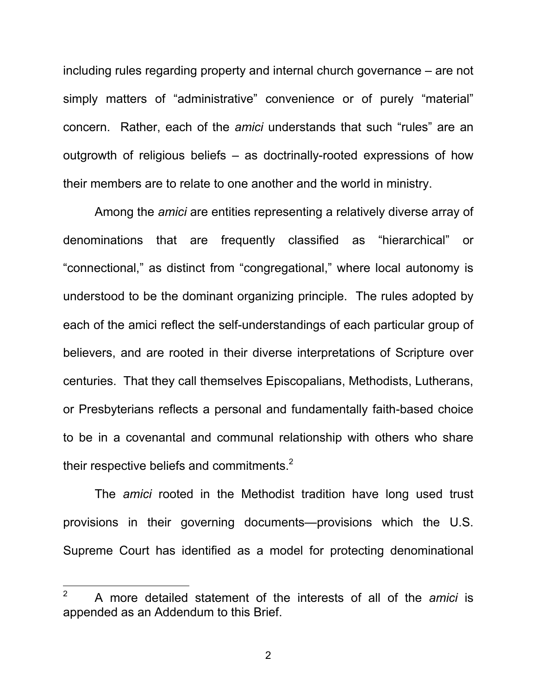including rules regarding property and internal church governance – are not simply matters of "administrative" convenience or of purely "material" concern. Rather, each of the *amici* understands that such "rules" are an outgrowth of religious beliefs – as doctrinally-rooted expressions of how their members are to relate to one another and the world in ministry.

Among the *amici* are entities representing a relatively diverse array of denominations that are frequently classified as "hierarchical" or "connectional," as distinct from "congregational," where local autonomy is understood to be the dominant organizing principle. The rules adopted by each of the amici reflect the self-understandings of each particular group of believers, and are rooted in their diverse interpretations of Scripture over centuries. That they call themselves Episcopalians, Methodists, Lutherans, or Presbyterians reflects a personal and fundamentally faith-based choice to be in a covenantal and communal relationship with others who share their respective beliefs and commitments.<sup>2</sup>

The *amici* rooted in the Methodist tradition have long used trust provisions in their governing documents—provisions which the U.S. Supreme Court has identified as a model for protecting denominational

 $\overline{2}$ <sup>2</sup> A more detailed statement of the interests of all of the *amici* is appended as an Addendum to this Brief.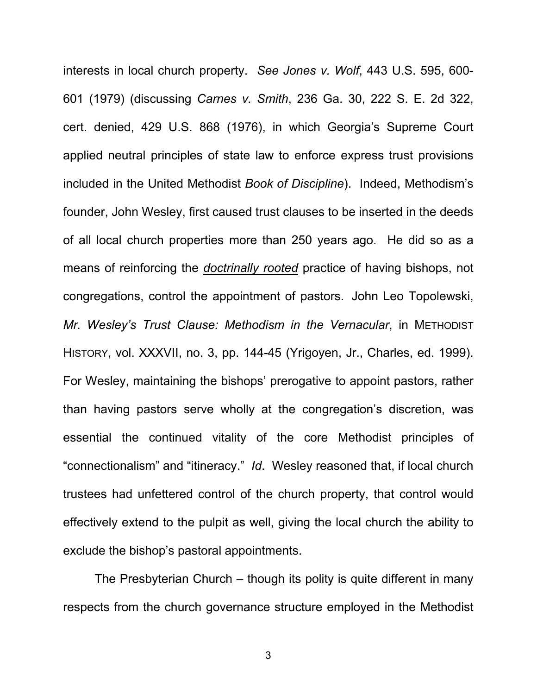interests in local church property. *See Jones v. Wolf*, 443 U.S. 595, 600- 601 (1979) (discussing *Carnes v. Smith*, 236 Ga. 30, 222 S. E. 2d 322, cert. denied, 429 U.S. 868 (1976), in which Georgia's Supreme Court applied neutral principles of state law to enforce express trust provisions included in the United Methodist *Book of Discipline*). Indeed, Methodism's founder, John Wesley, first caused trust clauses to be inserted in the deeds of all local church properties more than 250 years ago. He did so as a means of reinforcing the *doctrinally rooted* practice of having bishops, not congregations, control the appointment of pastors. John Leo Topolewski, *Mr. Wesley's Trust Clause: Methodism in the Vernacular*, in METHODIST HISTORY, vol. XXXVII, no. 3, pp. 144-45 (Yrigoyen, Jr., Charles, ed. 1999). For Wesley, maintaining the bishops' prerogative to appoint pastors, rather than having pastors serve wholly at the congregation's discretion, was essential the continued vitality of the core Methodist principles of "connectionalism" and "itineracy." *Id*. Wesley reasoned that, if local church trustees had unfettered control of the church property, that control would effectively extend to the pulpit as well, giving the local church the ability to exclude the bishop's pastoral appointments.

The Presbyterian Church – though its polity is quite different in many respects from the church governance structure employed in the Methodist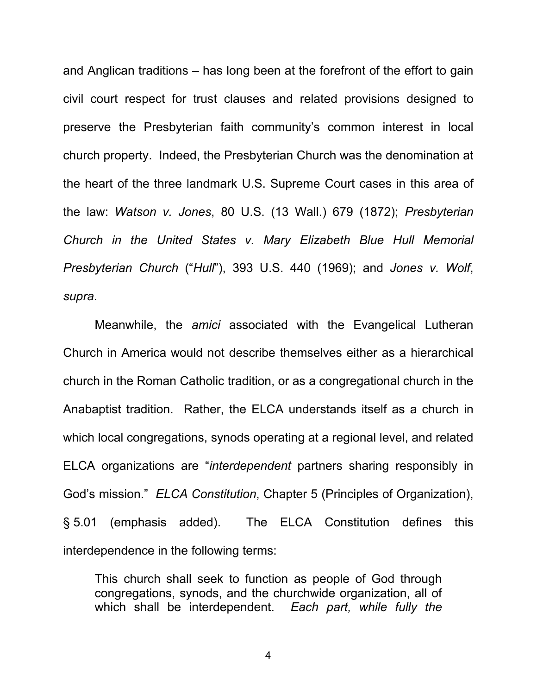and Anglican traditions – has long been at the forefront of the effort to gain civil court respect for trust clauses and related provisions designed to preserve the Presbyterian faith community's common interest in local church property. Indeed, the Presbyterian Church was the denomination at the heart of the three landmark U.S. Supreme Court cases in this area of the law: *Watson v. Jones*, 80 U.S. (13 Wall.) 679 (1872); *Presbyterian Church in the United States v. Mary Elizabeth Blue Hull Memorial Presbyterian Church* ("*Hull*"), 393 U.S. 440 (1969); and *Jones v. Wolf*, *supra*.

Meanwhile, the *amici* associated with the Evangelical Lutheran Church in America would not describe themselves either as a hierarchical church in the Roman Catholic tradition, or as a congregational church in the Anabaptist tradition. Rather, the ELCA understands itself as a church in which local congregations, synods operating at a regional level, and related ELCA organizations are "*interdependent* partners sharing responsibly in God's mission." *ELCA Constitution*, Chapter 5 (Principles of Organization), § 5.01 (emphasis added). The ELCA Constitution defines this interdependence in the following terms:

This church shall seek to function as people of God through congregations, synods, and the churchwide organization, all of which shall be interdependent. *Each part, while fully the*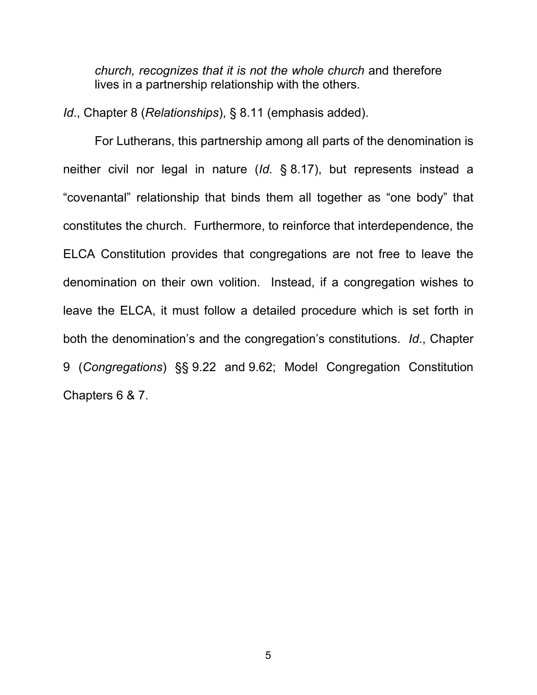*church, recognizes that it is not the whole church* and therefore lives in a partnership relationship with the others.

*Id*., Chapter 8 (*Relationships*), § 8.11 (emphasis added).

For Lutherans, this partnership among all parts of the denomination is neither civil nor legal in nature (*Id*. § 8.17), but represents instead a "covenantal" relationship that binds them all together as "one body" that constitutes the church. Furthermore, to reinforce that interdependence, the ELCA Constitution provides that congregations are not free to leave the denomination on their own volition. Instead, if a congregation wishes to leave the ELCA, it must follow a detailed procedure which is set forth in both the denomination's and the congregation's constitutions. *Id*., Chapter 9 (*Congregations*) §§ 9.22 and 9.62; Model Congregation Constitution Chapters 6 & 7.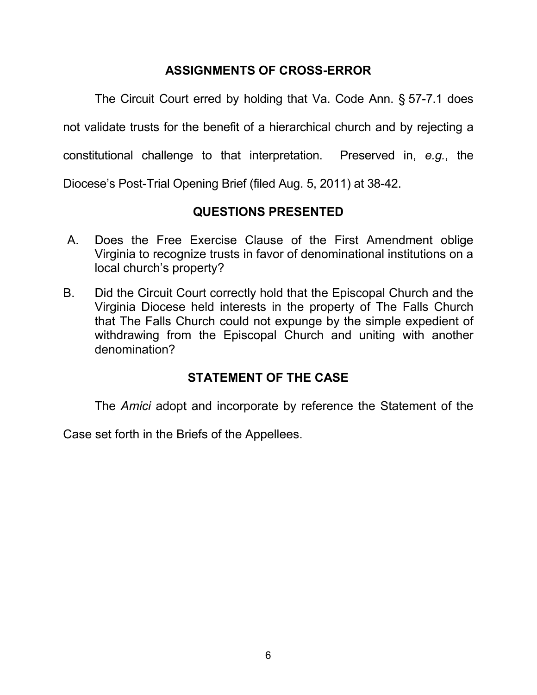# **ASSIGNMENTS OF CROSS-ERROR**

The Circuit Court erred by holding that Va. Code Ann. § 57-7.1 does not validate trusts for the benefit of a hierarchical church and by rejecting a constitutional challenge to that interpretation. Preserved in, *e.g.*, the Diocese's Post-Trial Opening Brief (filed Aug. 5, 2011) at 38-42.

# **QUESTIONS PRESENTED**

- A. Does the Free Exercise Clause of the First Amendment oblige Virginia to recognize trusts in favor of denominational institutions on a local church's property?
- B. Did the Circuit Court correctly hold that the Episcopal Church and the Virginia Diocese held interests in the property of The Falls Church that The Falls Church could not expunge by the simple expedient of withdrawing from the Episcopal Church and uniting with another denomination?

# **STATEMENT OF THE CASE**

The *Amici* adopt and incorporate by reference the Statement of the

Case set forth in the Briefs of the Appellees.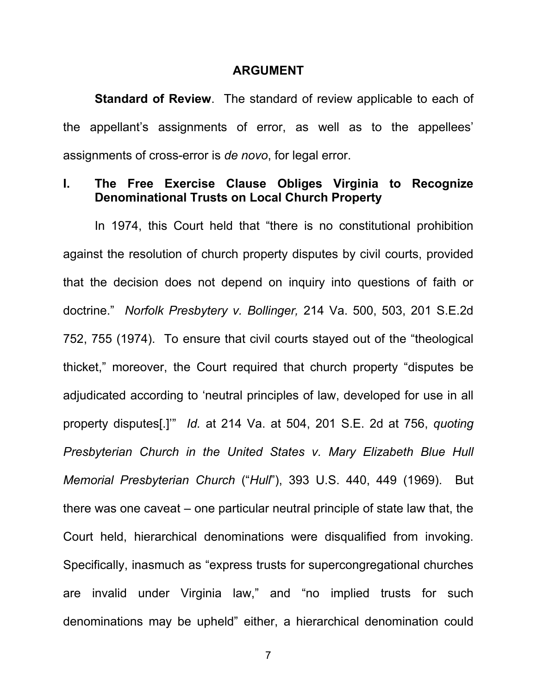#### **ARGUMENT**

**Standard of Review**. The standard of review applicable to each of the appellant's assignments of error, as well as to the appellees' assignments of cross-error is *de novo*, for legal error.

#### **I. The Free Exercise Clause Obliges Virginia to Recognize Denominational Trusts on Local Church Property**

In 1974, this Court held that "there is no constitutional prohibition against the resolution of church property disputes by civil courts, provided that the decision does not depend on inquiry into questions of faith or doctrine." *Norfolk Presbytery v. Bollinger,* 214 Va. 500, 503, 201 S.E.2d 752, 755 (1974). To ensure that civil courts stayed out of the "theological thicket," moreover, the Court required that church property "disputes be adjudicated according to 'neutral principles of law, developed for use in all property disputes[.]'" *Id.* at 214 Va. at 504, 201 S.E. 2d at 756, *quoting Presbyterian Church in the United States v. Mary Elizabeth Blue Hull Memorial Presbyterian Church* ("*Hull*"), 393 U.S. 440, 449 (1969). But there was one caveat – one particular neutral principle of state law that, the Court held, hierarchical denominations were disqualified from invoking. Specifically, inasmuch as "express trusts for supercongregational churches are invalid under Virginia law," and "no implied trusts for such denominations may be upheld" either, a hierarchical denomination could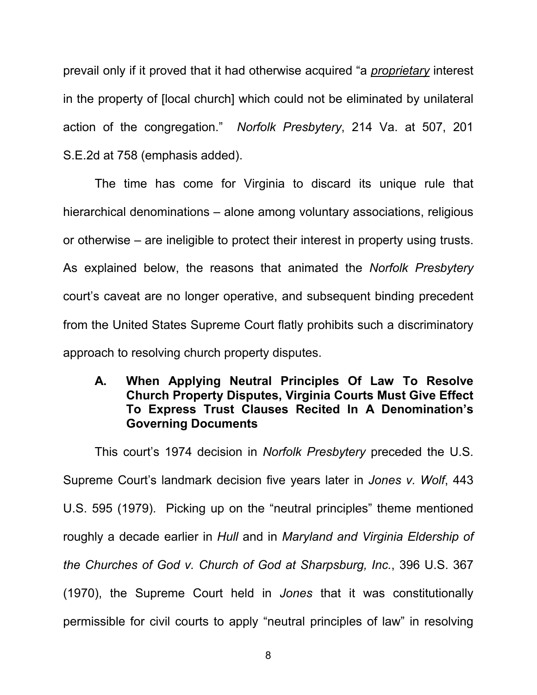prevail only if it proved that it had otherwise acquired "a *proprietary* interest in the property of [local church] which could not be eliminated by unilateral action of the congregation." *Norfolk Presbytery*, 214 Va. at 507, 201 S.E.2d at 758 (emphasis added).

The time has come for Virginia to discard its unique rule that hierarchical denominations – alone among voluntary associations, religious or otherwise – are ineligible to protect their interest in property using trusts. As explained below, the reasons that animated the *Norfolk Presbytery*  court's caveat are no longer operative, and subsequent binding precedent from the United States Supreme Court flatly prohibits such a discriminatory approach to resolving church property disputes.

## **A. When Applying Neutral Principles Of Law To Resolve Church Property Disputes, Virginia Courts Must Give Effect To Express Trust Clauses Recited In A Denomination's Governing Documents**

This court's 1974 decision in *Norfolk Presbytery* preceded the U.S. Supreme Court's landmark decision five years later in *Jones v. Wolf*, 443 U.S. 595 (1979). Picking up on the "neutral principles" theme mentioned roughly a decade earlier in *Hull* and in *Maryland and Virginia Eldership of the Churches of God v. Church of God at Sharpsburg, Inc.*, 396 U.S. 367 (1970), the Supreme Court held in *Jones* that it was constitutionally permissible for civil courts to apply "neutral principles of law" in resolving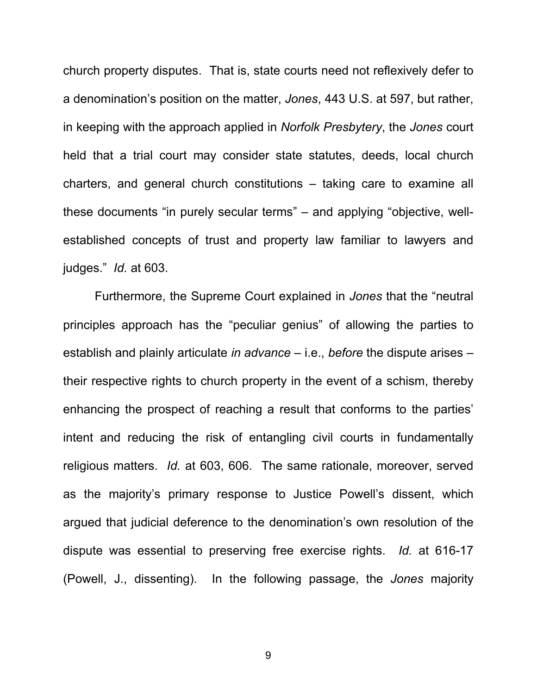church property disputes. That is, state courts need not reflexively defer to a denomination's position on the matter, *Jones*, 443 U.S. at 597, but rather, in keeping with the approach applied in *Norfolk Presbytery*, the *Jones* court held that a trial court may consider state statutes, deeds, local church charters, and general church constitutions – taking care to examine all these documents "in purely secular terms" – and applying "objective, wellestablished concepts of trust and property law familiar to lawyers and judges." *Id.* at 603.

Furthermore, the Supreme Court explained in *Jones* that the "neutral principles approach has the "peculiar genius" of allowing the parties to establish and plainly articulate *in advance* – i.e., *before* the dispute arises – their respective rights to church property in the event of a schism, thereby enhancing the prospect of reaching a result that conforms to the parties' intent and reducing the risk of entangling civil courts in fundamentally religious matters. *Id.* at 603, 606. The same rationale, moreover, served as the majority's primary response to Justice Powell's dissent, which argued that judicial deference to the denomination's own resolution of the dispute was essential to preserving free exercise rights. *Id.* at 616-17 (Powell, J., dissenting). In the following passage, the *Jones* majority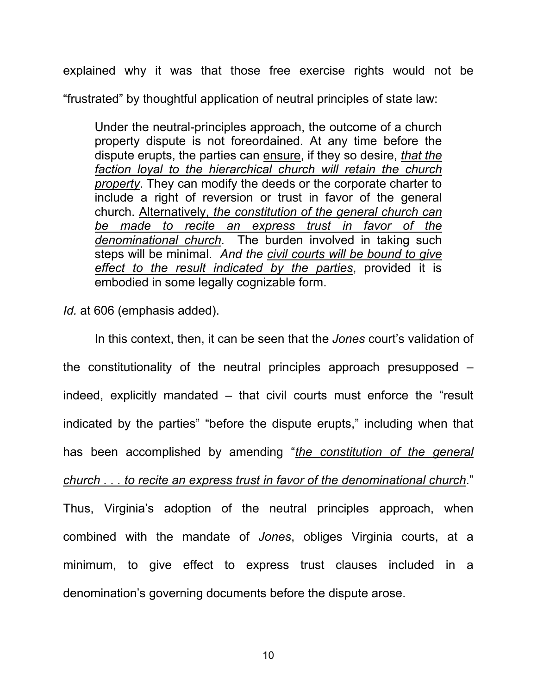explained why it was that those free exercise rights would not be "frustrated" by thoughtful application of neutral principles of state law:

Under the neutral-principles approach, the outcome of a church property dispute is not foreordained. At any time before the dispute erupts, the parties can ensure, if they so desire, *that the faction loyal to the hierarchical church will retain the church property*. They can modify the deeds or the corporate charter to include a right of reversion or trust in favor of the general church. Alternatively, *the constitution of the general church can be made to recite an express trust in favor of the denominational church*. The burden involved in taking such steps will be minimal. *And the civil courts will be bound to give effect to the result indicated by the parties*, provided it is embodied in some legally cognizable form.

*Id.* at 606 (emphasis added).

In this context, then, it can be seen that the *Jones* court's validation of the constitutionality of the neutral principles approach presupposed – indeed, explicitly mandated – that civil courts must enforce the "result indicated by the parties" "before the dispute erupts," including when that has been accomplished by amending "*the constitution of the general church . . . to recite an express trust in favor of the denominational church*." Thus, Virginia's adoption of the neutral principles approach, when combined with the mandate of *Jones*, obliges Virginia courts, at a minimum, to give effect to express trust clauses included in a denomination's governing documents before the dispute arose.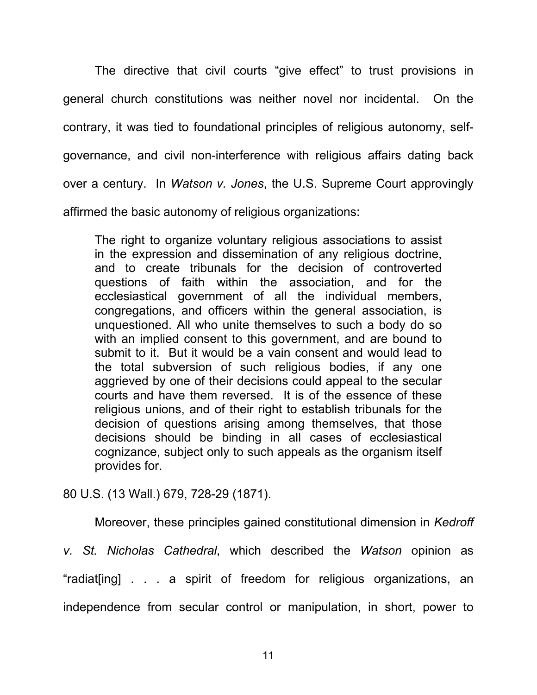The directive that civil courts "give effect" to trust provisions in general church constitutions was neither novel nor incidental. On the contrary, it was tied to foundational principles of religious autonomy, selfgovernance, and civil non-interference with religious affairs dating back over a century. In *Watson v. Jones*, the U.S. Supreme Court approvingly affirmed the basic autonomy of religious organizations:

The right to organize voluntary religious associations to assist in the expression and dissemination of any religious doctrine, and to create tribunals for the decision of controverted questions of faith within the association, and for the ecclesiastical government of all the individual members, congregations, and officers within the general association, is unquestioned. All who unite themselves to such a body do so with an implied consent to this government, and are bound to submit to it. But it would be a vain consent and would lead to the total subversion of such religious bodies, if any one aggrieved by one of their decisions could appeal to the secular courts and have them reversed. It is of the essence of these religious unions, and of their right to establish tribunals for the decision of questions arising among themselves, that those decisions should be binding in all cases of ecclesiastical cognizance, subject only to such appeals as the organism itself provides for.

80 U.S. (13 Wall.) 679, 728-29 (1871).

Moreover, these principles gained constitutional dimension in *Kedroff* 

*v. St. Nicholas Cathedral*, which described the *Watson* opinion as "radiat[ing] . . . a spirit of freedom for religious organizations, an independence from secular control or manipulation, in short, power to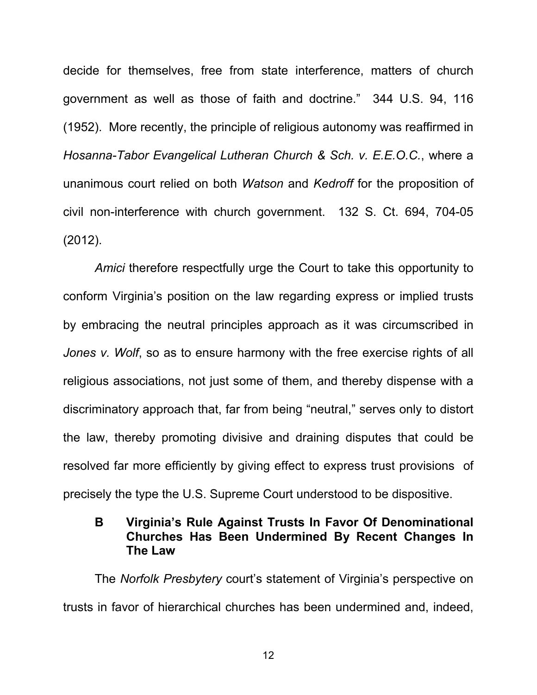decide for themselves, free from state interference, matters of church government as well as those of faith and doctrine." 344 U.S. 94, 116 (1952). More recently, the principle of religious autonomy was reaffirmed in *Hosanna-Tabor Evangelical Lutheran Church & Sch. v. E.E.O.C.*, where a unanimous court relied on both *Watson* and *Kedroff* for the proposition of civil non-interference with church government. 132 S. Ct. 694, 704-05 (2012).

*Amici* therefore respectfully urge the Court to take this opportunity to conform Virginia's position on the law regarding express or implied trusts by embracing the neutral principles approach as it was circumscribed in *Jones v. Wolf*, so as to ensure harmony with the free exercise rights of all religious associations, not just some of them, and thereby dispense with a discriminatory approach that, far from being "neutral," serves only to distort the law, thereby promoting divisive and draining disputes that could be resolved far more efficiently by giving effect to express trust provisions of precisely the type the U.S. Supreme Court understood to be dispositive.

### **B Virginia's Rule Against Trusts In Favor Of Denominational Churches Has Been Undermined By Recent Changes In The Law**

The *Norfolk Presbytery* court's statement of Virginia's perspective on trusts in favor of hierarchical churches has been undermined and, indeed,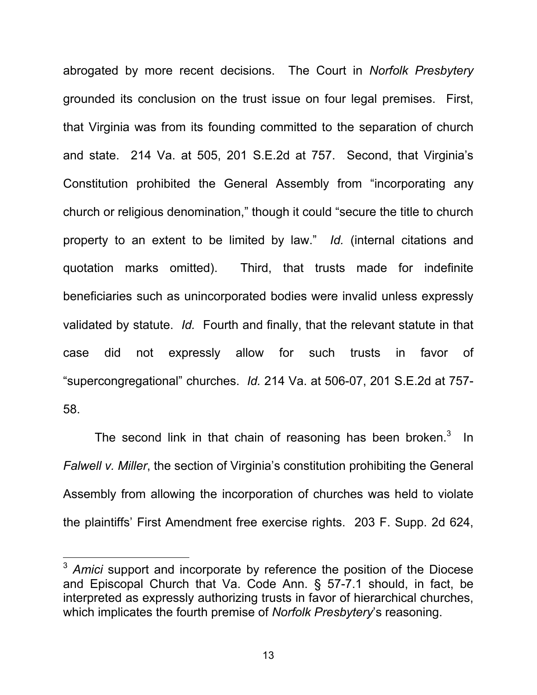abrogated by more recent decisions. The Court in *Norfolk Presbytery*  grounded its conclusion on the trust issue on four legal premises. First, that Virginia was from its founding committed to the separation of church and state. 214 Va. at 505, 201 S.E.2d at 757.Second, that Virginia's Constitution prohibited the General Assembly from "incorporating any church or religious denomination," though it could "secure the title to church property to an extent to be limited by law." *Id.* (internal citations and quotation marks omitted). Third, that trusts made for indefinite beneficiaries such as unincorporated bodies were invalid unless expressly validated by statute. *Id.* Fourth and finally, that the relevant statute in that case did not expressly allow for such trusts in favor of "supercongregational" churches. *Id.* 214 Va. at 506-07, 201 S.E.2d at 757- 58.

The second link in that chain of reasoning has been broken. $3$  In *Falwell v. Miller*, the section of Virginia's constitution prohibiting the General Assembly from allowing the incorporation of churches was held to violate the plaintiffs' First Amendment free exercise rights. 203 F. Supp. 2d 624,

 $\overline{a}$ 

<sup>&</sup>lt;sup>3</sup> Amici support and incorporate by reference the position of the Diocese and Episcopal Church that Va. Code Ann. § 57-7.1 should, in fact, be interpreted as expressly authorizing trusts in favor of hierarchical churches, which implicates the fourth premise of *Norfolk Presbytery*'s reasoning.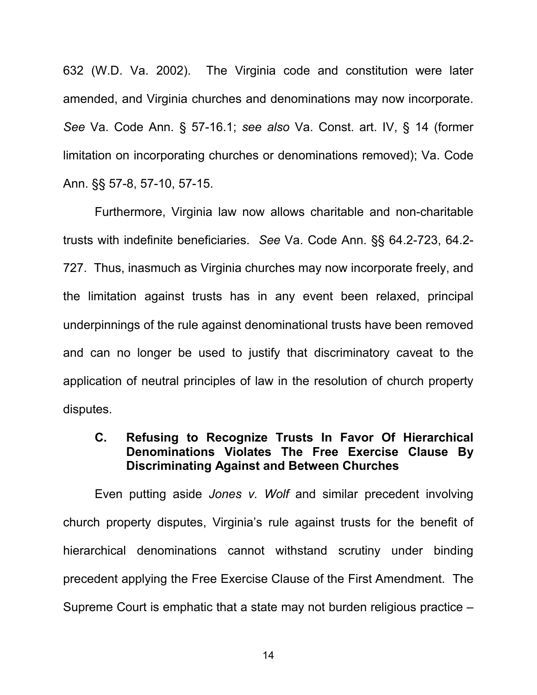632 (W.D. Va. 2002). The Virginia code and constitution were later amended, and Virginia churches and denominations may now incorporate. *See* Va. Code Ann. § 57-16.1; *see also* Va. Const. art. IV, § 14 (former limitation on incorporating churches or denominations removed); Va. Code Ann. §§ 57-8, 57-10, 57-15.

Furthermore, Virginia law now allows charitable and non-charitable trusts with indefinite beneficiaries. *See* Va. Code Ann. §§ 64.2-723, 64.2- 727. Thus, inasmuch as Virginia churches may now incorporate freely, and the limitation against trusts has in any event been relaxed, principal underpinnings of the rule against denominational trusts have been removed and can no longer be used to justify that discriminatory caveat to the application of neutral principles of law in the resolution of church property disputes.

#### **C. Refusing to Recognize Trusts In Favor Of Hierarchical Denominations Violates The Free Exercise Clause By Discriminating Against and Between Churches**

Even putting aside *Jones v. Wolf* and similar precedent involving church property disputes, Virginia's rule against trusts for the benefit of hierarchical denominations cannot withstand scrutiny under binding precedent applying the Free Exercise Clause of the First Amendment. The Supreme Court is emphatic that a state may not burden religious practice –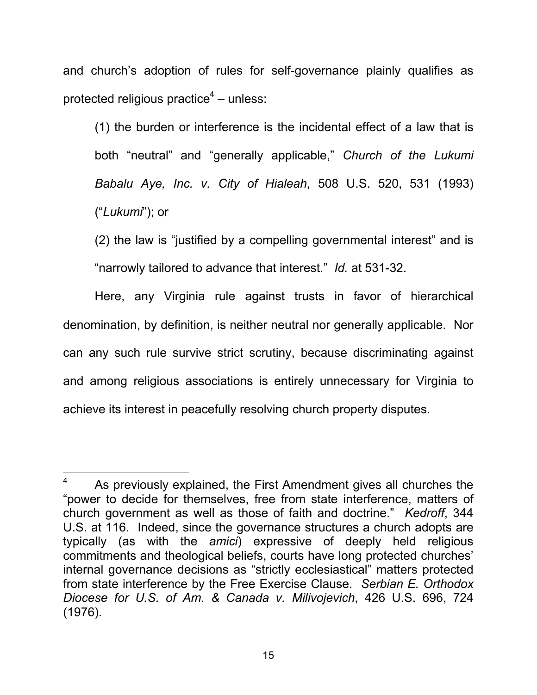and church's adoption of rules for self-governance plainly qualifies as protected religious practice $4$  – unless:

(1) the burden or interference is the incidental effect of a law that is both "neutral" and "generally applicable," *Church of the Lukumi Babalu Aye, Inc. v. City of Hialeah*, 508 U.S. 520, 531 (1993) ("*Lukumi*"); or

(2) the law is "justified by a compelling governmental interest" and is "narrowly tailored to advance that interest." *Id.* at 531-32.

Here, any Virginia rule against trusts in favor of hierarchical denomination, by definition, is neither neutral nor generally applicable. Nor can any such rule survive strict scrutiny, because discriminating against and among religious associations is entirely unnecessary for Virginia to achieve its interest in peacefully resolving church property disputes.

 $\overline{a}$ 

<sup>4</sup> As previously explained, the First Amendment gives all churches the "power to decide for themselves, free from state interference, matters of church government as well as those of faith and doctrine." *Kedroff*, 344 U.S. at 116. Indeed, since the governance structures a church adopts are typically (as with the *amici*) expressive of deeply held religious commitments and theological beliefs, courts have long protected churches' internal governance decisions as "strictly ecclesiastical" matters protected from state interference by the Free Exercise Clause. *Serbian E. Orthodox Diocese for U.S. of Am. & Canada v. Milivojevich*, 426 U.S. 696, 724 (1976).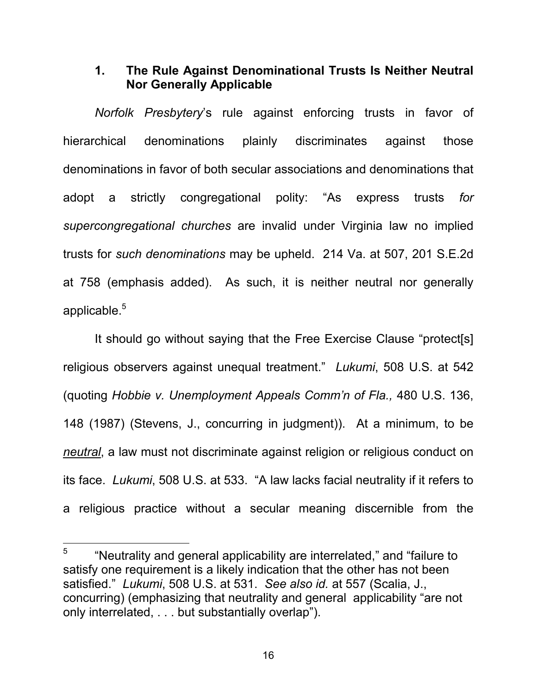#### **1. The Rule Against Denominational Trusts Is Neither Neutral Nor Generally Applicable**

*Norfolk Presbytery*'s rule against enforcing trusts in favor of hierarchical denominations plainly discriminates against those denominations in favor of both secular associations and denominations that adopt a strictly congregational polity: "As express trusts *for supercongregational churches* are invalid under Virginia law no implied trusts for *such denominations* may be upheld. 214 Va. at 507, 201 S.E.2d at 758 (emphasis added). As such, it is neither neutral nor generally applicable.<sup>5</sup>

It should go without saying that the Free Exercise Clause "protect[s] religious observers against unequal treatment." *Lukumi*, 508 U.S. at 542 (quoting *Hobbie v. Unemployment Appeals Comm'n of Fla.,* 480 U.S. 136, 148 (1987) (Stevens, J., concurring in judgment)). At a minimum, to be *neutral*, a law must not discriminate against religion or religious conduct on its face. *Lukumi*, 508 U.S. at 533. "A law lacks facial neutrality if it refers to a religious practice without a secular meaning discernible from the

 $\overline{a}$ 

<sup>5</sup> "Neutrality and general applicability are interrelated," and "failure to satisfy one requirement is a likely indication that the other has not been satisfied." *Lukumi*, 508 U.S. at 531. *See also id.* at 557 (Scalia, J., concurring) (emphasizing that neutrality and general applicability "are not only interrelated, . . . but substantially overlap").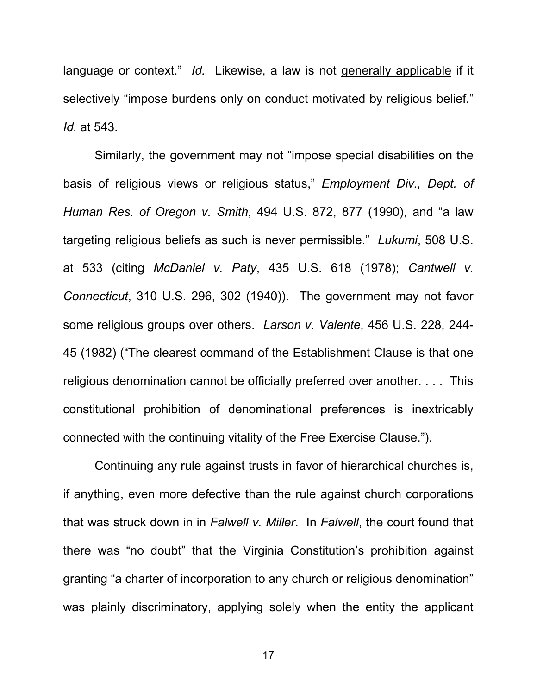language or context." *Id.* Likewise, a law is not generally applicable if it selectively "impose burdens only on conduct motivated by religious belief." *Id.* at 543.

Similarly, the government may not "impose special disabilities on the basis of religious views or religious status," *Employment Div., Dept. of Human Res. of Oregon v. Smith*, 494 U.S. 872, 877 (1990), and "a law targeting religious beliefs as such is never permissible." *Lukumi*, 508 U.S. at 533 (citing *McDaniel v. Paty*, 435 U.S. 618 (1978); *Cantwell v. Connecticut*, 310 U.S. 296, 302 (1940)). The government may not favor some religious groups over others. *Larson v. Valente*, 456 U.S. 228, 244- 45 (1982) ("The clearest command of the Establishment Clause is that one religious denomination cannot be officially preferred over another. . . . This constitutional prohibition of denominational preferences is inextricably connected with the continuing vitality of the Free Exercise Clause.").

Continuing any rule against trusts in favor of hierarchical churches is, if anything, even more defective than the rule against church corporations that was struck down in in *Falwell v. Miller*. In *Falwell*, the court found that there was "no doubt" that the Virginia Constitution's prohibition against granting "a charter of incorporation to any church or religious denomination" was plainly discriminatory, applying solely when the entity the applicant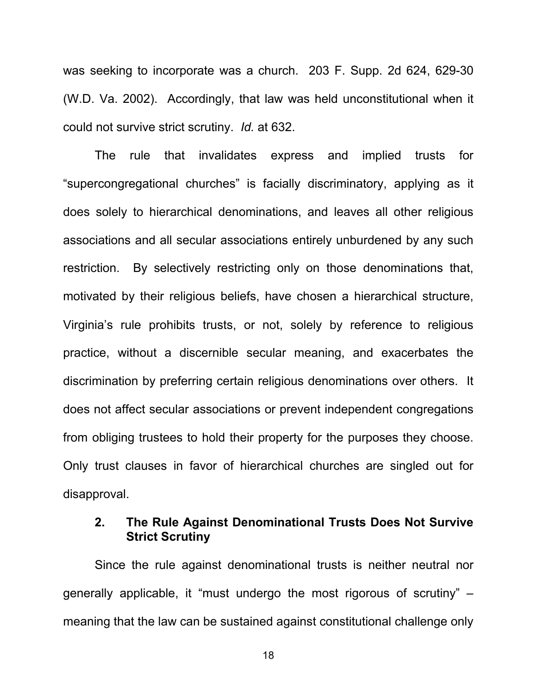was seeking to incorporate was a church. 203 F. Supp. 2d 624, 629-30 (W.D. Va. 2002). Accordingly, that law was held unconstitutional when it could not survive strict scrutiny. *Id.* at 632.

The rule that invalidates express and implied trusts for "supercongregational churches" is facially discriminatory, applying as it does solely to hierarchical denominations, and leaves all other religious associations and all secular associations entirely unburdened by any such restriction. By selectively restricting only on those denominations that, motivated by their religious beliefs, have chosen a hierarchical structure, Virginia's rule prohibits trusts, or not, solely by reference to religious practice, without a discernible secular meaning, and exacerbates the discrimination by preferring certain religious denominations over others. It does not affect secular associations or prevent independent congregations from obliging trustees to hold their property for the purposes they choose. Only trust clauses in favor of hierarchical churches are singled out for disapproval.

#### **2. The Rule Against Denominational Trusts Does Not Survive Strict Scrutiny**

Since the rule against denominational trusts is neither neutral nor generally applicable, it "must undergo the most rigorous of scrutiny" – meaning that the law can be sustained against constitutional challenge only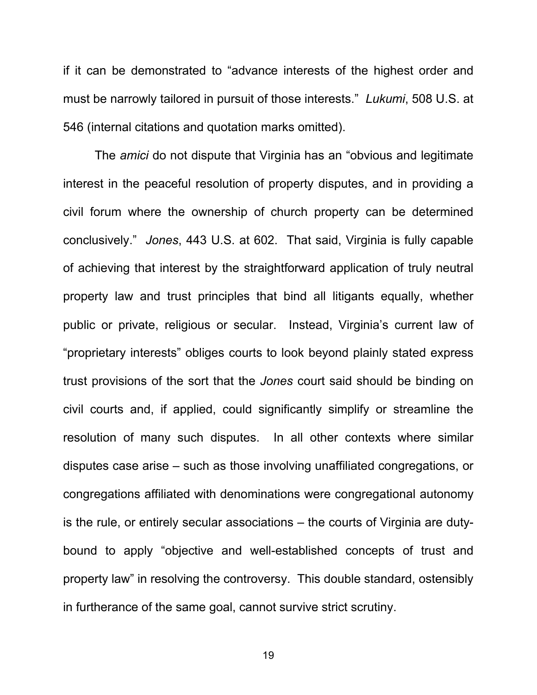if it can be demonstrated to "advance interests of the highest order and must be narrowly tailored in pursuit of those interests." *Lukumi*, 508 U.S. at 546 (internal citations and quotation marks omitted).

The *amici* do not dispute that Virginia has an "obvious and legitimate interest in the peaceful resolution of property disputes, and in providing a civil forum where the ownership of church property can be determined conclusively." *Jones*, 443 U.S. at 602. That said, Virginia is fully capable of achieving that interest by the straightforward application of truly neutral property law and trust principles that bind all litigants equally, whether public or private, religious or secular. Instead, Virginia's current law of "proprietary interests" obliges courts to look beyond plainly stated express trust provisions of the sort that the *Jones* court said should be binding on civil courts and, if applied, could significantly simplify or streamline the resolution of many such disputes. In all other contexts where similar disputes case arise – such as those involving unaffiliated congregations, or congregations affiliated with denominations were congregational autonomy is the rule, or entirely secular associations – the courts of Virginia are dutybound to apply "objective and well-established concepts of trust and property law" in resolving the controversy. This double standard, ostensibly in furtherance of the same goal, cannot survive strict scrutiny.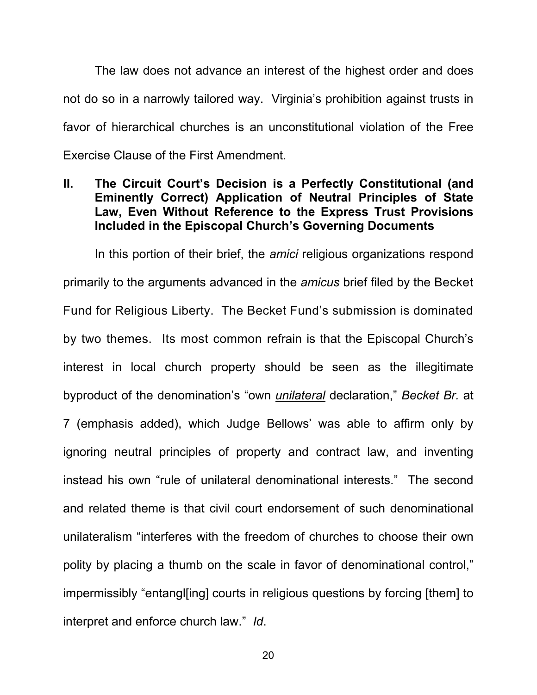The law does not advance an interest of the highest order and does not do so in a narrowly tailored way. Virginia's prohibition against trusts in favor of hierarchical churches is an unconstitutional violation of the Free Exercise Clause of the First Amendment.

#### **II. The Circuit Court's Decision is a Perfectly Constitutional (and Eminently Correct) Application of Neutral Principles of State Law, Even Without Reference to the Express Trust Provisions Included in the Episcopal Church's Governing Documents**

In this portion of their brief, the *amici* religious organizations respond primarily to the arguments advanced in the *amicus* brief filed by the Becket Fund for Religious Liberty. The Becket Fund's submission is dominated by two themes. Its most common refrain is that the Episcopal Church's interest in local church property should be seen as the illegitimate byproduct of the denomination's "own *unilateral* declaration," *Becket Br.* at 7 (emphasis added), which Judge Bellows' was able to affirm only by ignoring neutral principles of property and contract law, and inventing instead his own "rule of unilateral denominational interests." The second and related theme is that civil court endorsement of such denominational unilateralism "interferes with the freedom of churches to choose their own polity by placing a thumb on the scale in favor of denominational control," impermissibly "entangl[ing] courts in religious questions by forcing [them] to interpret and enforce church law." *Id*.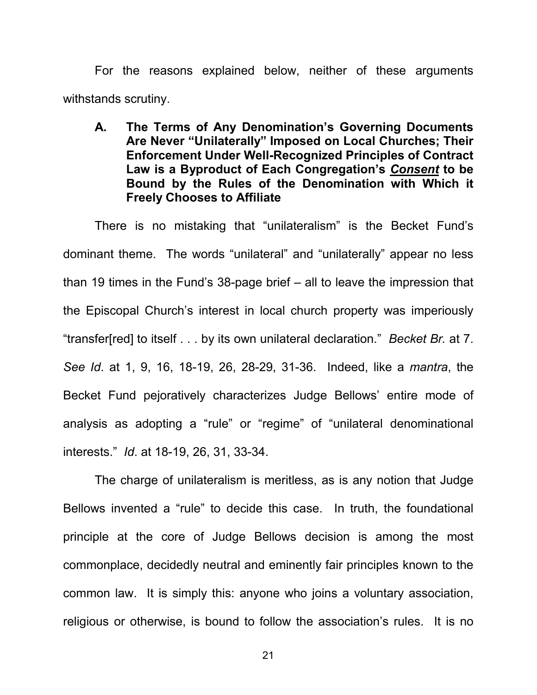For the reasons explained below, neither of these arguments withstands scrutiny.

**A. The Terms of Any Denomination's Governing Documents Are Never "Unilaterally" Imposed on Local Churches; Their Enforcement Under Well-Recognized Principles of Contract Law is a Byproduct of Each Congregation's** *Consent* **to be Bound by the Rules of the Denomination with Which it Freely Chooses to Affiliate**

There is no mistaking that "unilateralism" is the Becket Fund's dominant theme. The words "unilateral" and "unilaterally" appear no less than 19 times in the Fund's 38-page brief – all to leave the impression that the Episcopal Church's interest in local church property was imperiously "transfer[red] to itself . . . by its own unilateral declaration." *Becket Br.* at 7. *See Id*. at 1, 9, 16, 18-19, 26, 28-29, 31-36. Indeed, like a *mantra*, the Becket Fund pejoratively characterizes Judge Bellows' entire mode of analysis as adopting a "rule" or "regime" of "unilateral denominational interests." *Id*. at 18-19, 26, 31, 33-34.

The charge of unilateralism is meritless, as is any notion that Judge Bellows invented a "rule" to decide this case. In truth, the foundational principle at the core of Judge Bellows decision is among the most commonplace, decidedly neutral and eminently fair principles known to the common law. It is simply this: anyone who joins a voluntary association, religious or otherwise, is bound to follow the association's rules. It is no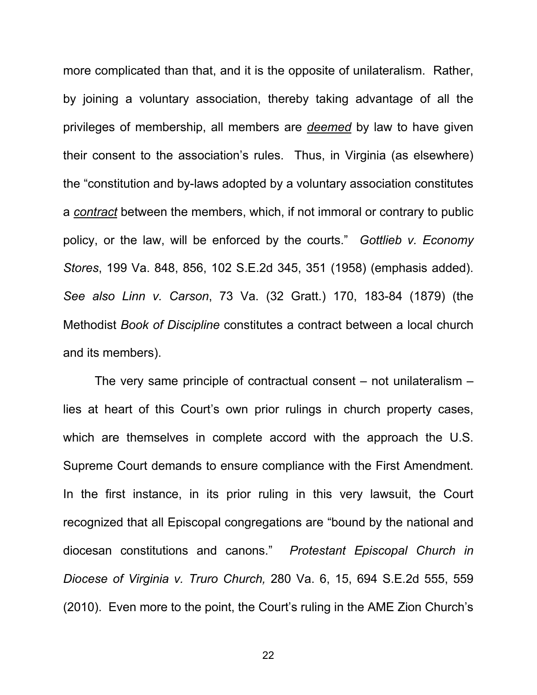more complicated than that, and it is the opposite of unilateralism. Rather, by joining a voluntary association, thereby taking advantage of all the privileges of membership, all members are *deemed* by law to have given their consent to the association's rules. Thus, in Virginia (as elsewhere) the "constitution and by-laws adopted by a voluntary association constitutes a *contract* between the members, which, if not immoral or contrary to public policy, or the law, will be enforced by the courts." *Gottlieb v. Economy Stores*, 199 Va. 848, 856, 102 S.E.2d 345, 351 (1958) (emphasis added). *See also Linn v. Carson*, 73 Va. (32 Gratt.) 170, 183-84 (1879) (the Methodist *Book of Discipline* constitutes a contract between a local church and its members).

The very same principle of contractual consent – not unilateralism – lies at heart of this Court's own prior rulings in church property cases, which are themselves in complete accord with the approach the U.S. Supreme Court demands to ensure compliance with the First Amendment. In the first instance, in its prior ruling in this very lawsuit, the Court recognized that all Episcopal congregations are "bound by the national and diocesan constitutions and canons." *Protestant Episcopal Church in Diocese of Virginia v. Truro Church,* 280 Va. 6, 15, 694 S.E.2d 555, 559 (2010). Even more to the point, the Court's ruling in the AME Zion Church's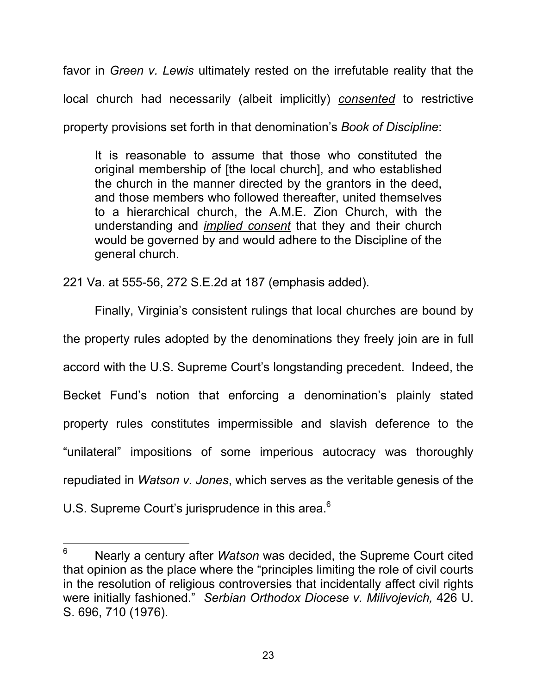favor in *Green v. Lewis* ultimately rested on the irrefutable reality that the local church had necessarily (albeit implicitly) *consented* to restrictive property provisions set forth in that denomination's *Book of Discipline*:

It is reasonable to assume that those who constituted the original membership of [the local church], and who established the church in the manner directed by the grantors in the deed, and those members who followed thereafter, united themselves to a hierarchical church, the A.M.E. Zion Church, with the understanding and *implied consent* that they and their church would be governed by and would adhere to the Discipline of the general church.

221 Va. at 555-56, 272 S.E.2d at 187 (emphasis added).

 $\overline{a}$ 

Finally, Virginia's consistent rulings that local churches are bound by the property rules adopted by the denominations they freely join are in full accord with the U.S. Supreme Court's longstanding precedent. Indeed, the Becket Fund's notion that enforcing a denomination's plainly stated property rules constitutes impermissible and slavish deference to the "unilateral" impositions of some imperious autocracy was thoroughly repudiated in *Watson v. Jones*, which serves as the veritable genesis of the U.S. Supreme Court's jurisprudence in this area.<sup>6</sup>

<sup>6</sup> Nearly a century after *Watson* was decided, the Supreme Court cited that opinion as the place where the "principles limiting the role of civil courts in the resolution of religious controversies that incidentally affect civil rights were initially fashioned." *Serbian Orthodox Diocese v. Milivojevich,* 426 U. S. 696, 710 (1976).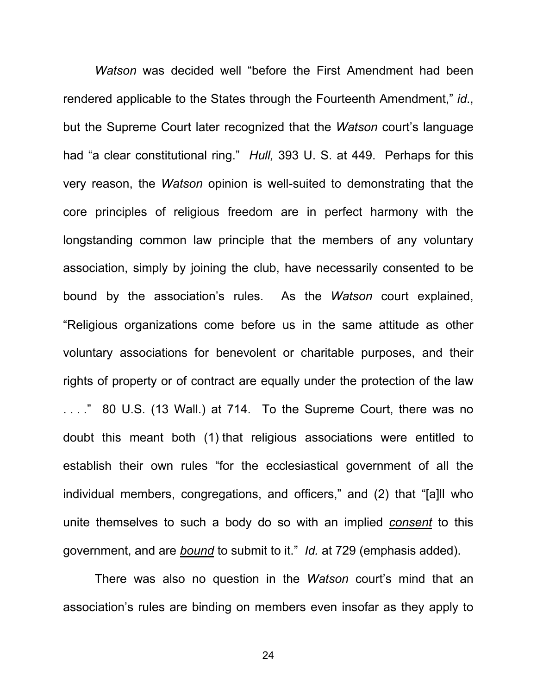*Watson* was decided well "before the First Amendment had been rendered applicable to the States through the Fourteenth Amendment," *id*., but the Supreme Court later recognized that the *Watson* court's language had "a clear constitutional ring." *Hull,* 393 U. S. at 449. Perhaps for this very reason, the *Watson* opinion is well-suited to demonstrating that the core principles of religious freedom are in perfect harmony with the longstanding common law principle that the members of any voluntary association, simply by joining the club, have necessarily consented to be bound by the association's rules. As the *Watson* court explained, "Religious organizations come before us in the same attitude as other voluntary associations for benevolent or charitable purposes, and their rights of property or of contract are equally under the protection of the law . . . ." 80 U.S. (13 Wall.) at 714. To the Supreme Court, there was no doubt this meant both (1) that religious associations were entitled to establish their own rules "for the ecclesiastical government of all the individual members, congregations, and officers," and (2) that "[a]ll who unite themselves to such a body do so with an implied *consent* to this government, and are *bound* to submit to it." *Id.* at 729 (emphasis added).

There was also no question in the *Watson* court's mind that an association's rules are binding on members even insofar as they apply to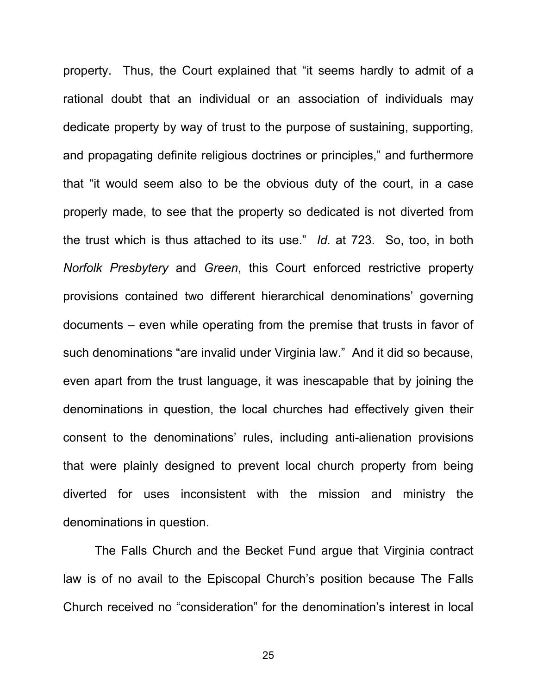property. Thus, the Court explained that "it seems hardly to admit of a rational doubt that an individual or an association of individuals may dedicate property by way of trust to the purpose of sustaining, supporting, and propagating definite religious doctrines or principles," and furthermore that "it would seem also to be the obvious duty of the court, in a case properly made, to see that the property so dedicated is not diverted from the trust which is thus attached to its use." *Id*. at 723. So, too, in both *Norfolk Presbytery* and *Green*, this Court enforced restrictive property provisions contained two different hierarchical denominations' governing documents – even while operating from the premise that trusts in favor of such denominations "are invalid under Virginia law." And it did so because, even apart from the trust language, it was inescapable that by joining the denominations in question, the local churches had effectively given their consent to the denominations' rules, including anti-alienation provisions that were plainly designed to prevent local church property from being diverted for uses inconsistent with the mission and ministry the denominations in question.

The Falls Church and the Becket Fund argue that Virginia contract law is of no avail to the Episcopal Church's position because The Falls Church received no "consideration" for the denomination's interest in local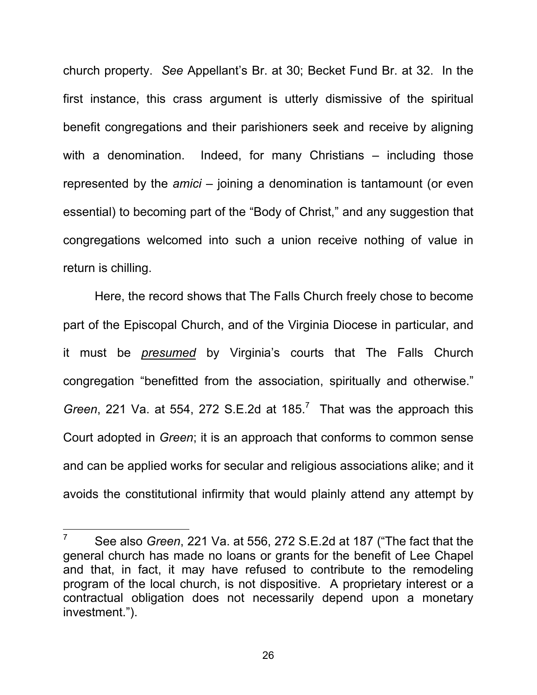church property. *See* Appellant's Br. at 30; Becket Fund Br. at 32. In the first instance, this crass argument is utterly dismissive of the spiritual benefit congregations and their parishioners seek and receive by aligning with a denomination. Indeed, for many Christians – including those represented by the *amici* – joining a denomination is tantamount (or even essential) to becoming part of the "Body of Christ," and any suggestion that congregations welcomed into such a union receive nothing of value in return is chilling.

Here, the record shows that The Falls Church freely chose to become part of the Episcopal Church, and of the Virginia Diocese in particular, and it must be *presumed* by Virginia's courts that The Falls Church congregation "benefitted from the association, spiritually and otherwise." *Green*, 221 Va. at 554, 272 S.E.2d at 185. 7 That was the approach this Court adopted in *Green*; it is an approach that conforms to common sense and can be applied works for secular and religious associations alike; and it avoids the constitutional infirmity that would plainly attend any attempt by

 $\overline{7}$ <sup>7</sup> See also *Green*, 221 Va. at 556, 272 S.E.2d at 187 ("The fact that the general church has made no loans or grants for the benefit of Lee Chapel and that, in fact, it may have refused to contribute to the remodeling program of the local church, is not dispositive. A proprietary interest or a contractual obligation does not necessarily depend upon a monetary investment.").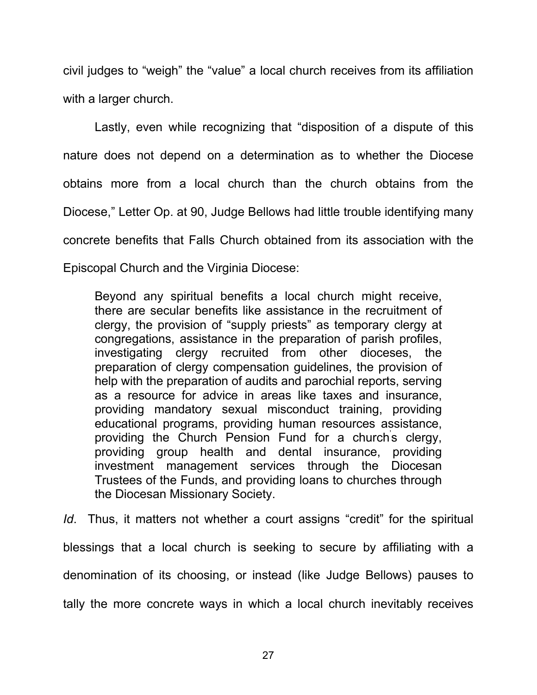civil judges to "weigh" the "value" a local church receives from its affiliation with a larger church.

Lastly, even while recognizing that "disposition of a dispute of this nature does not depend on a determination as to whether the Diocese obtains more from a local church than the church obtains from the Diocese," Letter Op. at 90, Judge Bellows had little trouble identifying many concrete benefits that Falls Church obtained from its association with the Episcopal Church and the Virginia Diocese:

Beyond any spiritual benefits a local church might receive, there are secular benefits like assistance in the recruitment of clergy, the provision of "supply priests" as temporary clergy at congregations, assistance in the preparation of parish profiles, investigating clergy recruited from other dioceses, the preparation of clergy compensation guidelines, the provision of help with the preparation of audits and parochial reports, serving as a resource for advice in areas like taxes and insurance, providing mandatory sexual misconduct training, providing educational programs, providing human resources assistance, providing the Church Pension Fund for a church's clergy, providing group health and dental insurance, providing investment management services through the Diocesan Trustees of the Funds, and providing loans to churches through the Diocesan Missionary Society.

*Id*. Thus, it matters not whether a court assigns "credit" for the spiritual blessings that a local church is seeking to secure by affiliating with a denomination of its choosing, or instead (like Judge Bellows) pauses to tally the more concrete ways in which a local church inevitably receives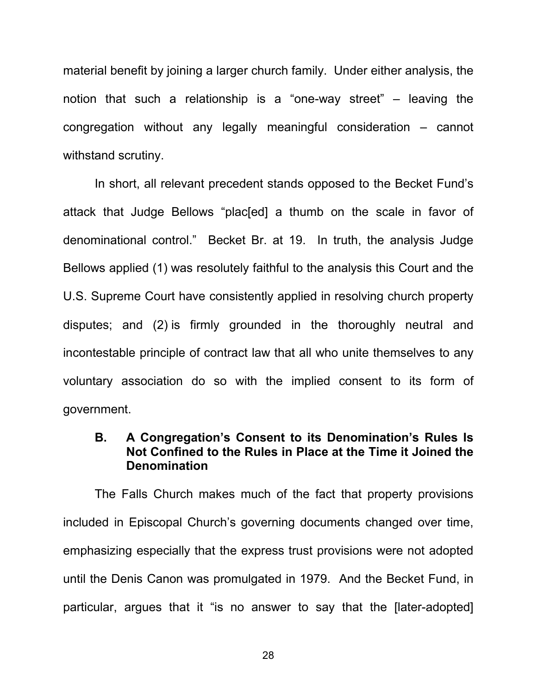material benefit by joining a larger church family. Under either analysis, the notion that such a relationship is a "one-way street" – leaving the congregation without any legally meaningful consideration – cannot withstand scrutiny.

In short, all relevant precedent stands opposed to the Becket Fund's attack that Judge Bellows "plac[ed] a thumb on the scale in favor of denominational control." Becket Br. at 19. In truth, the analysis Judge Bellows applied (1) was resolutely faithful to the analysis this Court and the U.S. Supreme Court have consistently applied in resolving church property disputes; and (2) is firmly grounded in the thoroughly neutral and incontestable principle of contract law that all who unite themselves to any voluntary association do so with the implied consent to its form of government.

#### **B. A Congregation's Consent to its Denomination's Rules Is Not Confined to the Rules in Place at the Time it Joined the Denomination**

The Falls Church makes much of the fact that property provisions included in Episcopal Church's governing documents changed over time, emphasizing especially that the express trust provisions were not adopted until the Denis Canon was promulgated in 1979. And the Becket Fund, in particular, argues that it "is no answer to say that the [later-adopted]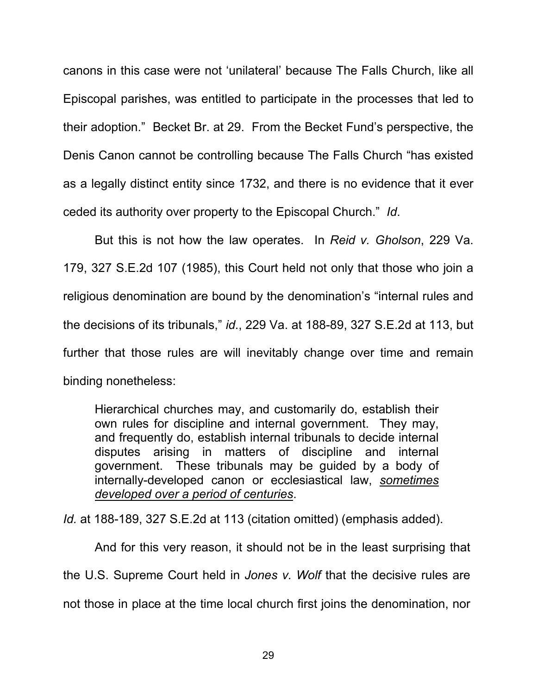canons in this case were not 'unilateral' because The Falls Church, like all Episcopal parishes, was entitled to participate in the processes that led to their adoption." Becket Br. at 29. From the Becket Fund's perspective, the Denis Canon cannot be controlling because The Falls Church "has existed as a legally distinct entity since 1732, and there is no evidence that it ever ceded its authority over property to the Episcopal Church." *Id*.

But this is not how the law operates. In *Reid v. Gholson*, 229 Va. 179, 327 S.E.2d 107 (1985), this Court held not only that those who join a religious denomination are bound by the denomination's "internal rules and the decisions of its tribunals," *id*., 229 Va. at 188-89, 327 S.E.2d at 113, but further that those rules are will inevitably change over time and remain binding nonetheless:

Hierarchical churches may, and customarily do, establish their own rules for discipline and internal government. They may, and frequently do, establish internal tribunals to decide internal disputes arising in matters of discipline and internal government. These tribunals may be guided by a body of internally-developed canon or ecclesiastical law, *sometimes developed over a period of centuries*.

*Id.* at 188-189, 327 S.E.2d at 113 (citation omitted) (emphasis added).

And for this very reason, it should not be in the least surprising that the U.S. Supreme Court held in *Jones v. Wolf* that the decisive rules are not those in place at the time local church first joins the denomination, nor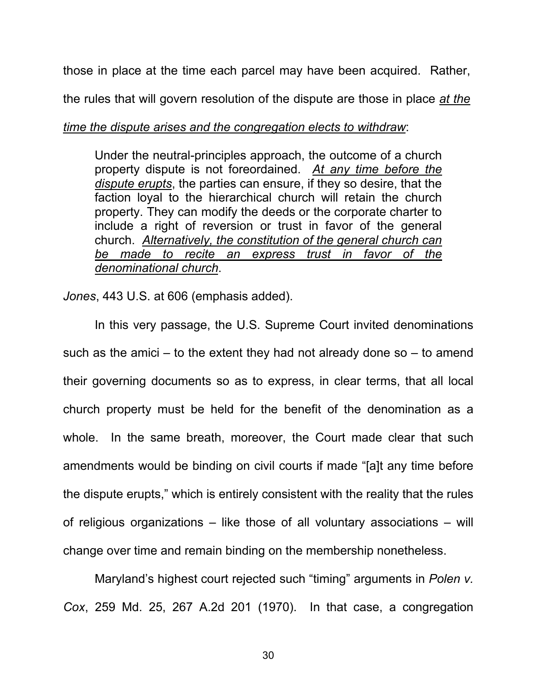those in place at the time each parcel may have been acquired. Rather,

the rules that will govern resolution of the dispute are those in place *at the* 

#### *time the dispute arises and the congregation elects to withdraw*:

Under the neutral-principles approach, the outcome of a church property dispute is not foreordained. *At any time before the dispute erupts*, the parties can ensure, if they so desire, that the faction loyal to the hierarchical church will retain the church property. They can modify the deeds or the corporate charter to include a right of reversion or trust in favor of the general church. *Alternatively, the constitution of the general church can be made to recite an express trust in favor of the denominational church*.

*Jones*, 443 U.S. at 606 (emphasis added).

In this very passage, the U.S. Supreme Court invited denominations such as the amici – to the extent they had not already done so  $-$  to amend their governing documents so as to express, in clear terms, that all local church property must be held for the benefit of the denomination as a whole. In the same breath, moreover, the Court made clear that such amendments would be binding on civil courts if made "[a]t any time before the dispute erupts," which is entirely consistent with the reality that the rules of religious organizations – like those of all voluntary associations – will change over time and remain binding on the membership nonetheless.

Maryland's highest court rejected such "timing" arguments in *Polen v. Cox*, 259 Md. 25, 267 A.2d 201 (1970). In that case, a congregation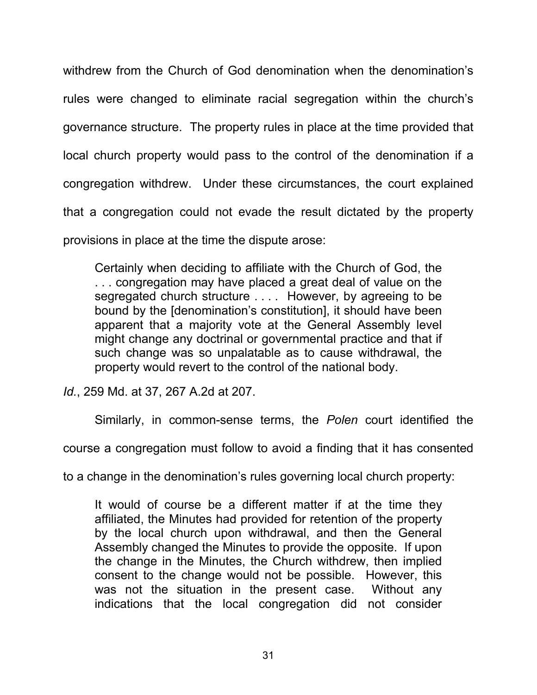withdrew from the Church of God denomination when the denomination's rules were changed to eliminate racial segregation within the church's governance structure. The property rules in place at the time provided that local church property would pass to the control of the denomination if a congregation withdrew. Under these circumstances, the court explained that a congregation could not evade the result dictated by the property provisions in place at the time the dispute arose:

Certainly when deciding to affiliate with the Church of God, the . . . congregation may have placed a great deal of value on the segregated church structure . . . . However, by agreeing to be bound by the [denomination's constitution], it should have been apparent that a majority vote at the General Assembly level might change any doctrinal or governmental practice and that if such change was so unpalatable as to cause withdrawal, the property would revert to the control of the national body.

*Id.*, 259 Md. at 37, 267 A.2d at 207.

Similarly, in common-sense terms, the *Polen* court identified the

course a congregation must follow to avoid a finding that it has consented

to a change in the denomination's rules governing local church property:

It would of course be a different matter if at the time they affiliated, the Minutes had provided for retention of the property by the local church upon withdrawal, and then the General Assembly changed the Minutes to provide the opposite. If upon the change in the Minutes, the Church withdrew, then implied consent to the change would not be possible. However, this was not the situation in the present case. Without any indications that the local congregation did not consider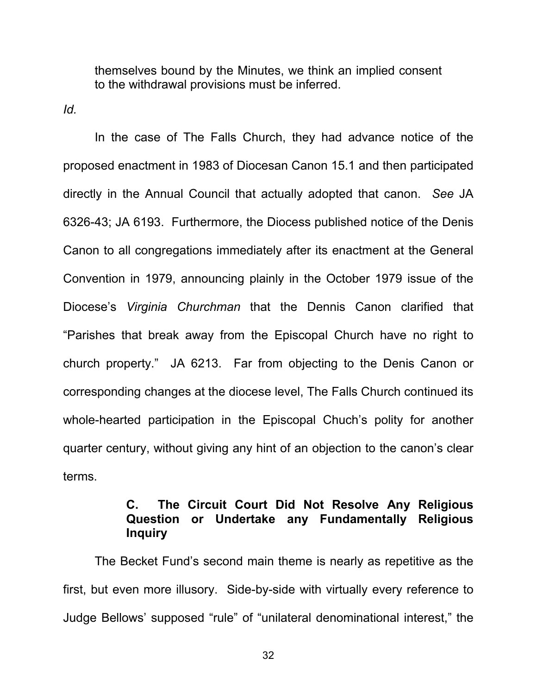themselves bound by the Minutes, we think an implied consent to the withdrawal provisions must be inferred.

*Id.*

In the case of The Falls Church, they had advance notice of the proposed enactment in 1983 of Diocesan Canon 15.1 and then participated directly in the Annual Council that actually adopted that canon. *See* JA 6326-43; JA 6193. Furthermore, the Diocess published notice of the Denis Canon to all congregations immediately after its enactment at the General Convention in 1979, announcing plainly in the October 1979 issue of the Diocese's *Virginia Churchman* that the Dennis Canon clarified that "Parishes that break away from the Episcopal Church have no right to church property." JA 6213. Far from objecting to the Denis Canon or corresponding changes at the diocese level, The Falls Church continued its whole-hearted participation in the Episcopal Chuch's polity for another quarter century, without giving any hint of an objection to the canon's clear terms.

### **C. The Circuit Court Did Not Resolve Any Religious Question or Undertake any Fundamentally Religious Inquiry**

The Becket Fund's second main theme is nearly as repetitive as the first, but even more illusory. Side-by-side with virtually every reference to Judge Bellows' supposed "rule" of "unilateral denominational interest," the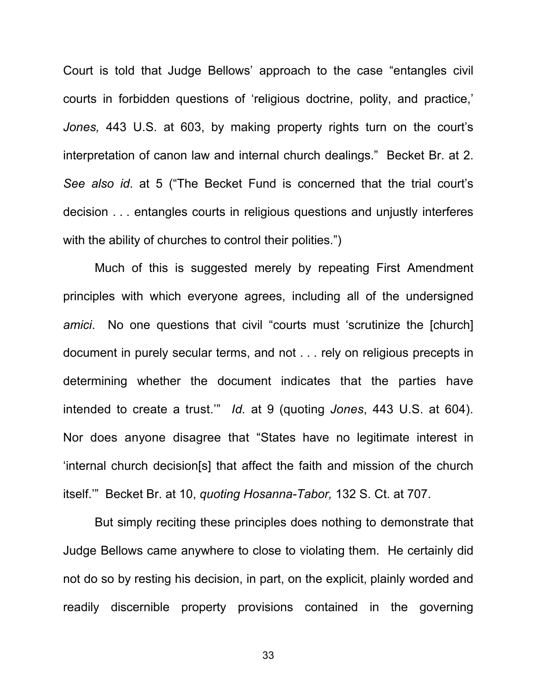Court is told that Judge Bellows' approach to the case "entangles civil courts in forbidden questions of 'religious doctrine, polity, and practice,' *Jones,* 443 U.S. at 603, by making property rights turn on the court's interpretation of canon law and internal church dealings." Becket Br. at 2. *See also id*. at 5 ("The Becket Fund is concerned that the trial court's decision . . . entangles courts in religious questions and unjustly interferes with the ability of churches to control their polities.")

Much of this is suggested merely by repeating First Amendment principles with which everyone agrees, including all of the undersigned *amici*. No one questions that civil "courts must 'scrutinize the [church] document in purely secular terms, and not . . . rely on religious precepts in determining whether the document indicates that the parties have intended to create a trust.'" *Id.* at 9 (quoting *Jones*, 443 U.S. at 604). Nor does anyone disagree that "States have no legitimate interest in 'internal church decision[s] that affect the faith and mission of the church itself.'" Becket Br. at 10, *quoting Hosanna-Tabor,* 132 S. Ct. at 707.

But simply reciting these principles does nothing to demonstrate that Judge Bellows came anywhere to close to violating them. He certainly did not do so by resting his decision, in part, on the explicit, plainly worded and readily discernible property provisions contained in the governing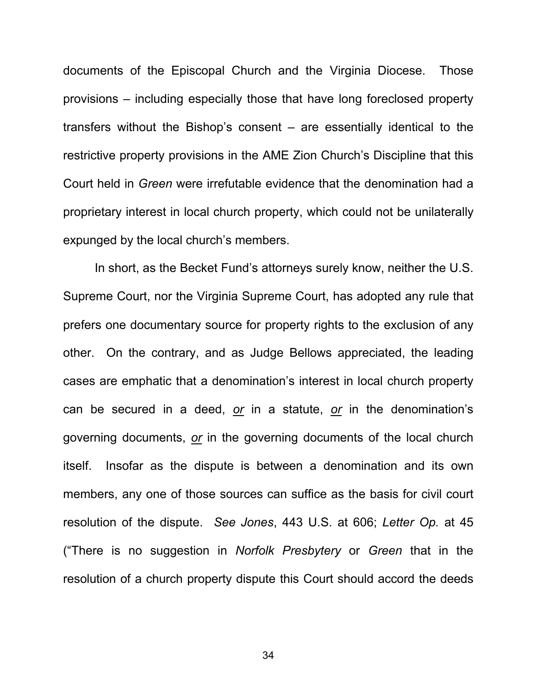documents of the Episcopal Church and the Virginia Diocese. Those provisions – including especially those that have long foreclosed property transfers without the Bishop's consent – are essentially identical to the restrictive property provisions in the AME Zion Church's Discipline that this Court held in *Green* were irrefutable evidence that the denomination had a proprietary interest in local church property, which could not be unilaterally expunged by the local church's members.

In short, as the Becket Fund's attorneys surely know, neither the U.S. Supreme Court, nor the Virginia Supreme Court, has adopted any rule that prefers one documentary source for property rights to the exclusion of any other. On the contrary, and as Judge Bellows appreciated, the leading cases are emphatic that a denomination's interest in local church property can be secured in a deed, *or* in a statute, *or* in the denomination's governing documents, *or* in the governing documents of the local church itself. Insofar as the dispute is between a denomination and its own members, any one of those sources can suffice as the basis for civil court resolution of the dispute. *See Jones*, 443 U.S. at 606; *Letter Op.* at 45 ("There is no suggestion in *Norfolk Presbytery* or *Green* that in the resolution of a church property dispute this Court should accord the deeds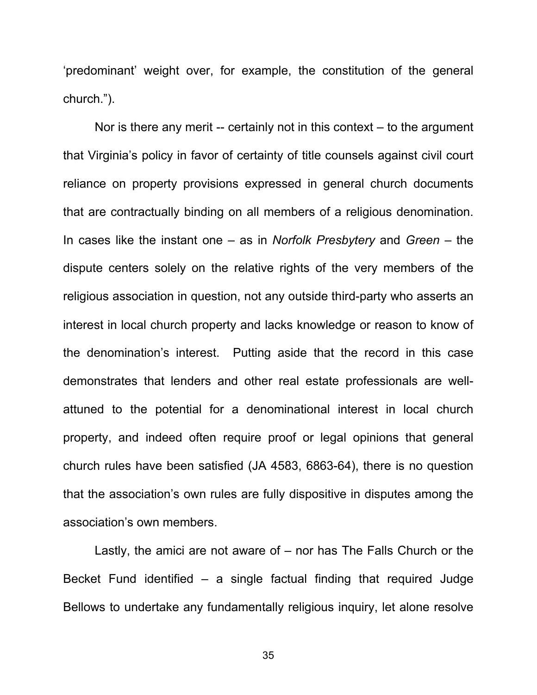'predominant' weight over, for example, the constitution of the general church.").

Nor is there any merit -- certainly not in this context – to the argument that Virginia's policy in favor of certainty of title counsels against civil court reliance on property provisions expressed in general church documents that are contractually binding on all members of a religious denomination. In cases like the instant one – as in *Norfolk Presbytery* and *Green* – the dispute centers solely on the relative rights of the very members of the religious association in question, not any outside third-party who asserts an interest in local church property and lacks knowledge or reason to know of the denomination's interest. Putting aside that the record in this case demonstrates that lenders and other real estate professionals are wellattuned to the potential for a denominational interest in local church property, and indeed often require proof or legal opinions that general church rules have been satisfied (JA 4583, 6863-64), there is no question that the association's own rules are fully dispositive in disputes among the association's own members.

Lastly, the amici are not aware of – nor has The Falls Church or the Becket Fund identified – a single factual finding that required Judge Bellows to undertake any fundamentally religious inquiry, let alone resolve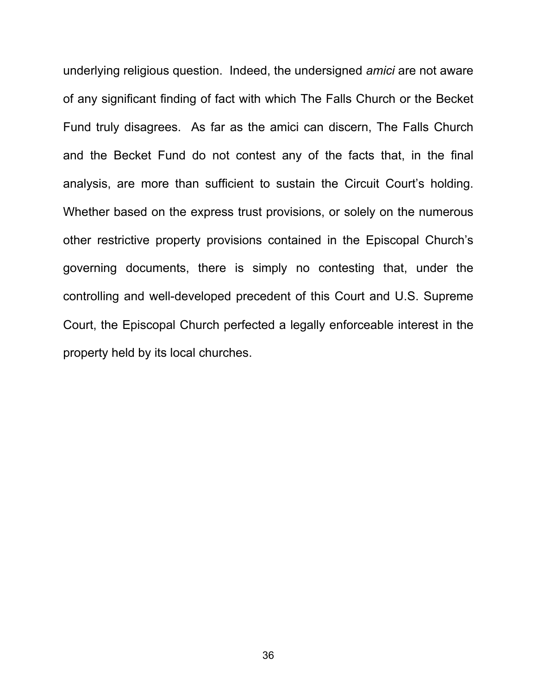underlying religious question. Indeed, the undersigned *amici* are not aware of any significant finding of fact with which The Falls Church or the Becket Fund truly disagrees. As far as the amici can discern, The Falls Church and the Becket Fund do not contest any of the facts that, in the final analysis, are more than sufficient to sustain the Circuit Court's holding. Whether based on the express trust provisions, or solely on the numerous other restrictive property provisions contained in the Episcopal Church's governing documents, there is simply no contesting that, under the controlling and well-developed precedent of this Court and U.S. Supreme Court, the Episcopal Church perfected a legally enforceable interest in the property held by its local churches.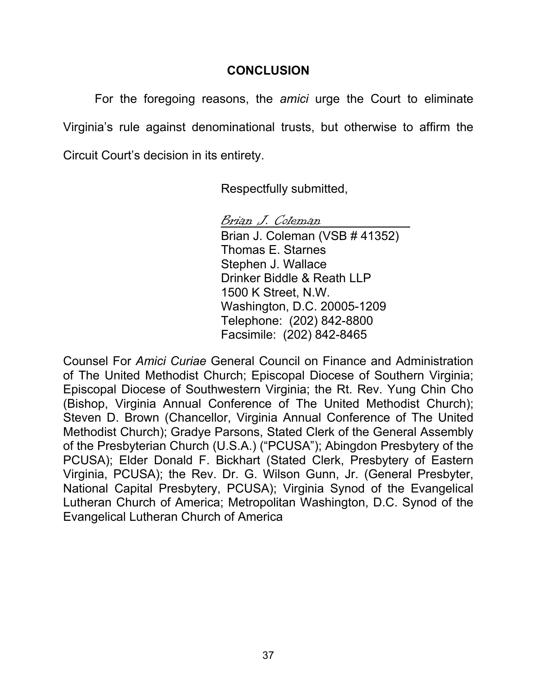## **CONCLUSION**

For the foregoing reasons, the *amici* urge the Court to eliminate Virginia's rule against denominational trusts, but otherwise to affirm the Circuit Court's decision in its entirety.

Respectfully submitted,

Brian J. Coleman Brian J. Coleman (VSB # 41352) Thomas E. Starnes Stephen J. Wallace Drinker Biddle & Reath LLP 1500 K Street, N.W. Washington, D.C. 20005-1209 Telephone: (202) 842-8800 Facsimile: (202) 842-8465

Counsel For *Amici Curiae* General Council on Finance and Administration of The United Methodist Church; Episcopal Diocese of Southern Virginia; Episcopal Diocese of Southwestern Virginia; the Rt. Rev. Yung Chin Cho (Bishop, Virginia Annual Conference of The United Methodist Church); Steven D. Brown (Chancellor, Virginia Annual Conference of The United Methodist Church); Gradye Parsons, Stated Clerk of the General Assembly of the Presbyterian Church (U.S.A.) ("PCUSA"); Abingdon Presbytery of the PCUSA); Elder Donald F. Bickhart (Stated Clerk, Presbytery of Eastern Virginia, PCUSA); the Rev. Dr. G. Wilson Gunn, Jr. (General Presbyter, National Capital Presbytery, PCUSA); Virginia Synod of the Evangelical Lutheran Church of America; Metropolitan Washington, D.C. Synod of the Evangelical Lutheran Church of America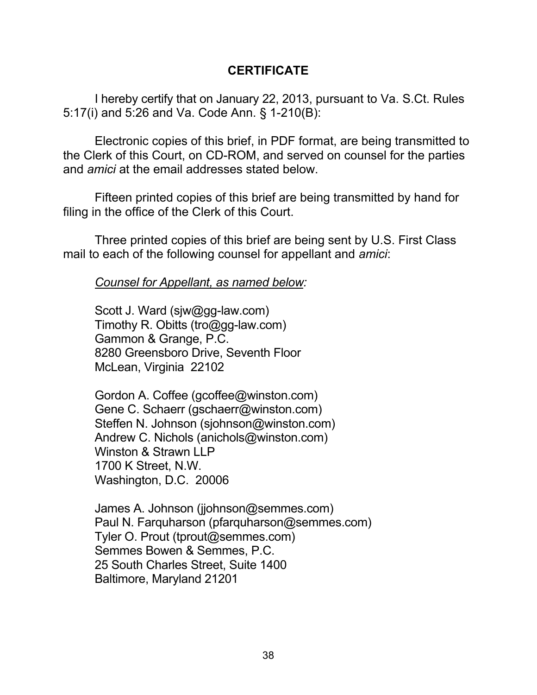### **CERTIFICATE**

I hereby certify that on January 22, 2013, pursuant to Va. S.Ct. Rules 5:17(i) and 5:26 and Va. Code Ann. § 1-210(B):

Electronic copies of this brief, in PDF format, are being transmitted to the Clerk of this Court, on CD-ROM, and served on counsel for the parties and *amici* at the email addresses stated below.

Fifteen printed copies of this brief are being transmitted by hand for filing in the office of the Clerk of this Court.

Three printed copies of this brief are being sent by U.S. First Class mail to each of the following counsel for appellant and *amici*:

*Counsel for Appellant, as named below:* 

Scott J. Ward (sjw@gg-law.com) Timothy R. Obitts (tro@gg-law.com) Gammon & Grange, P.C. 8280 Greensboro Drive, Seventh Floor McLean, Virginia 22102

Gordon A. Coffee (gcoffee@winston.com) Gene C. Schaerr (gschaerr@winston.com) Steffen N. Johnson (sjohnson@winston.com) Andrew C. Nichols (anichols@winston.com) Winston & Strawn LLP 1700 K Street, N.W. Washington, D.C. 20006

James A. Johnson (jjohnson@semmes.com) Paul N. Farquharson (pfarquharson@semmes.com) Tyler O. Prout (tprout@semmes.com) Semmes Bowen & Semmes, P.C. 25 South Charles Street, Suite 1400 Baltimore, Maryland 21201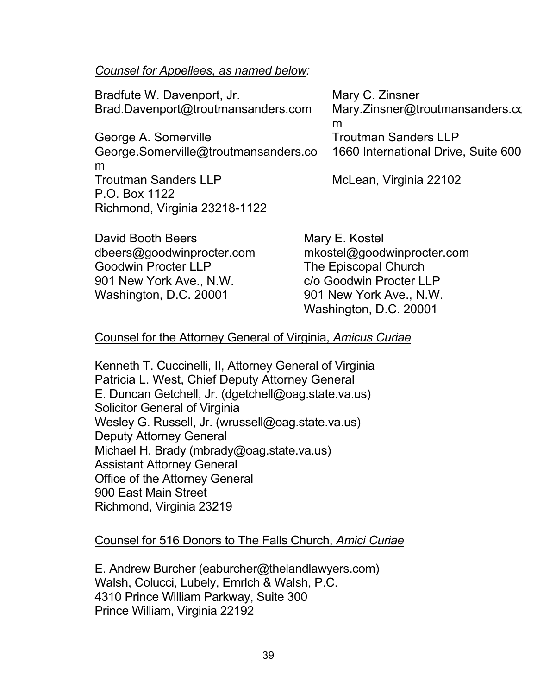#### *Counsel for Appellees, as named below:*

| Bradfute W. Davenport, Jr.                   | Mary C. Zinsner                      |
|----------------------------------------------|--------------------------------------|
| Brad.Davenport@troutmansanders.com           | Mary.Zinsner@troutmansanders.co<br>m |
| George A. Somerville                         | <b>Troutman Sanders LLP</b>          |
| George.Somerville@troutmansanders.co<br>m    | 1660 International Drive, Suite 600  |
| <b>Troutman Sanders LLP</b><br>P.O. Box 1122 | McLean, Virginia 22102               |
| Richmond, Virginia 23218-1122                |                                      |
| David Booth Beers                            | Mary E. Kostel                       |

Goodwin Procter LLP The Episcopal Church 901 New York Ave., N.W. C/o Goodwin Procter LLP Washington, D.C. 20001 901 New York Ave., N.W.

dbeers@goodwinprocter.com mkostel@goodwinprocter.com Washington, D.C. 20001

## Counsel for the Attorney General of Virginia, *Amicus Curiae*

Kenneth T. Cuccinelli, II, Attorney General of Virginia Patricia L. West, Chief Deputy Attorney General E. Duncan Getchell, Jr. (dgetchell@oag.state.va.us) Solicitor General of Virginia Wesley G. Russell, Jr. (wrussell@oag.state.va.us) Deputy Attorney General Michael H. Brady (mbrady@oag.state.va.us) Assistant Attorney General Office of the Attorney General 900 East Main Street Richmond, Virginia 23219

#### Counsel for 516 Donors to The Falls Church, *Amici Curiae*

E. Andrew Burcher (eaburcher@thelandlawyers.com) Walsh, Colucci, Lubely, Emrlch & Walsh, P.C. 4310 Prince William Parkway, Suite 300 Prince William, Virginia 22192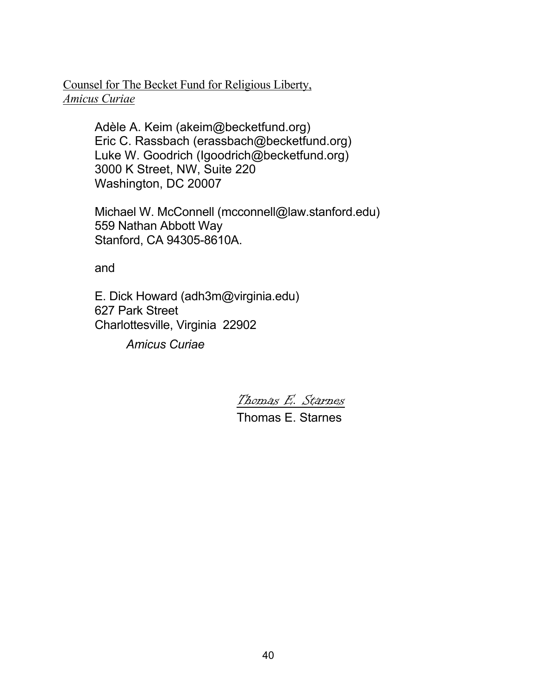#### Counsel for The Becket Fund for Religious Liberty, *Amicus Curiae*

Adèle A. Keim (akeim@becketfund.org) Eric C. Rassbach (erassbach@becketfund.org) Luke W. Goodrich (Igoodrich@becketfund.org) 3000 K Street, NW, Suite 220 Washington, DC 20007

Michael W. McConnell (mcconnell@law.stanford.edu) 559 Nathan Abbott Way Stanford, CA 94305-8610A.

and

E. Dick Howard (adh3m@virginia.edu) 627 Park Street Charlottesville, Virginia 22902

*Amicus Curiae*

Thomas E. Starnes

Thomas E. Starnes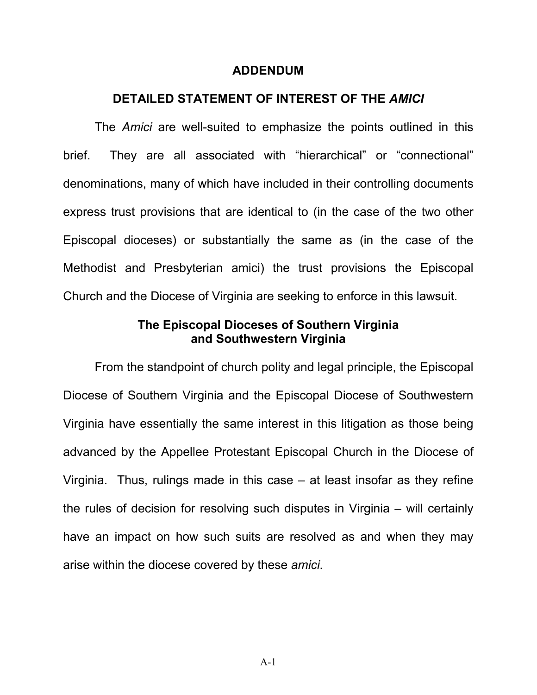#### **ADDENDUM**

#### **DETAILED STATEMENT OF INTEREST OF THE** *AMICI*

The *Amici* are well-suited to emphasize the points outlined in this brief. They are all associated with "hierarchical" or "connectional" denominations, many of which have included in their controlling documents express trust provisions that are identical to (in the case of the two other Episcopal dioceses) or substantially the same as (in the case of the Methodist and Presbyterian amici) the trust provisions the Episcopal Church and the Diocese of Virginia are seeking to enforce in this lawsuit.

#### **The Episcopal Dioceses of Southern Virginia and Southwestern Virginia**

From the standpoint of church polity and legal principle, the Episcopal Diocese of Southern Virginia and the Episcopal Diocese of Southwestern Virginia have essentially the same interest in this litigation as those being advanced by the Appellee Protestant Episcopal Church in the Diocese of Virginia. Thus, rulings made in this case – at least insofar as they refine the rules of decision for resolving such disputes in Virginia – will certainly have an impact on how such suits are resolved as and when they may arise within the diocese covered by these *amici*.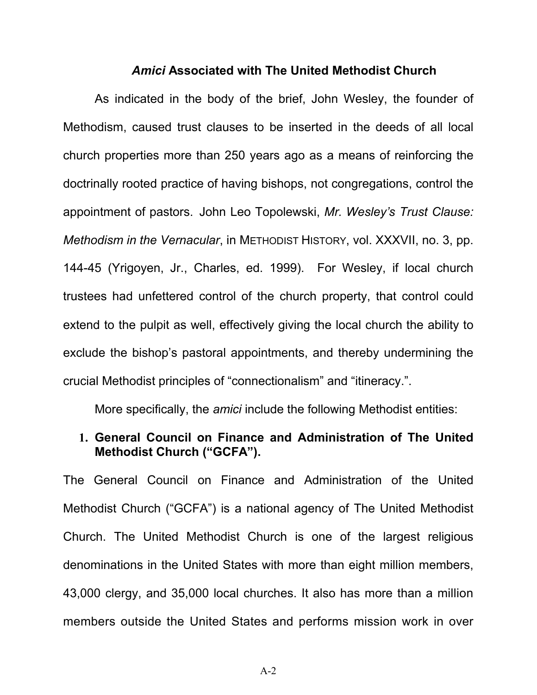#### *Amici* **Associated with The United Methodist Church**

As indicated in the body of the brief, John Wesley, the founder of Methodism, caused trust clauses to be inserted in the deeds of all local church properties more than 250 years ago as a means of reinforcing the doctrinally rooted practice of having bishops, not congregations, control the appointment of pastors. John Leo Topolewski, *Mr. Wesley's Trust Clause: Methodism in the Vernacular*, in METHODIST HISTORY, vol. XXXVII, no. 3, pp. 144-45 (Yrigoyen, Jr., Charles, ed. 1999). For Wesley, if local church trustees had unfettered control of the church property, that control could extend to the pulpit as well, effectively giving the local church the ability to exclude the bishop's pastoral appointments, and thereby undermining the crucial Methodist principles of "connectionalism" and "itineracy.".

More specifically, the *amici* include the following Methodist entities:

#### **1. General Council on Finance and Administration of The United Methodist Church ("GCFA").**

The General Council on Finance and Administration of the United Methodist Church ("GCFA") is a national agency of The United Methodist Church. The United Methodist Church is one of the largest religious denominations in the United States with more than eight million members, 43,000 clergy, and 35,000 local churches. It also has more than a million members outside the United States and performs mission work in over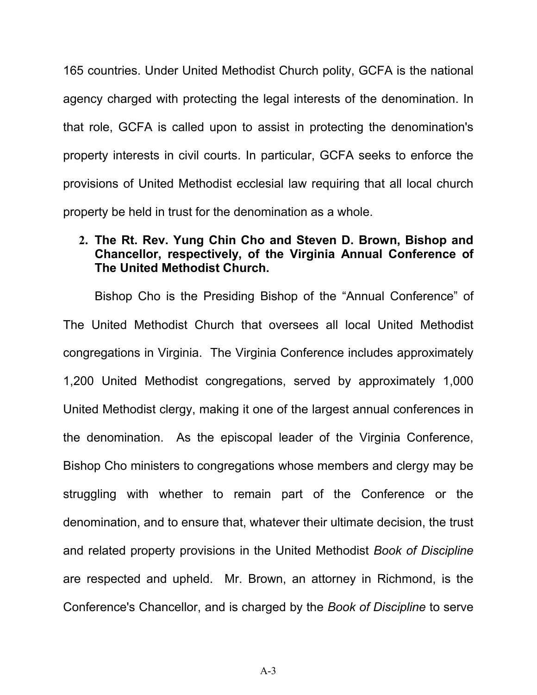165 countries. Under United Methodist Church polity, GCFA is the national agency charged with protecting the legal interests of the denomination. In that role, GCFA is called upon to assist in protecting the denomination's property interests in civil courts. In particular, GCFA seeks to enforce the provisions of United Methodist ecclesial law requiring that all local church property be held in trust for the denomination as a whole.

### **2. The Rt. Rev. Yung Chin Cho and Steven D. Brown, Bishop and Chancellor, respectively, of the Virginia Annual Conference of The United Methodist Church.**

Bishop Cho is the Presiding Bishop of the "Annual Conference" of The United Methodist Church that oversees all local United Methodist congregations in Virginia. The Virginia Conference includes approximately 1,200 United Methodist congregations, served by approximately 1,000 United Methodist clergy, making it one of the largest annual conferences in the denomination. As the episcopal leader of the Virginia Conference, Bishop Cho ministers to congregations whose members and clergy may be struggling with whether to remain part of the Conference or the denomination, and to ensure that, whatever their ultimate decision, the trust and related property provisions in the United Methodist *Book of Discipline* are respected and upheld. Mr. Brown, an attorney in Richmond, is the Conference's Chancellor, and is charged by the *Book of Discipline* to serve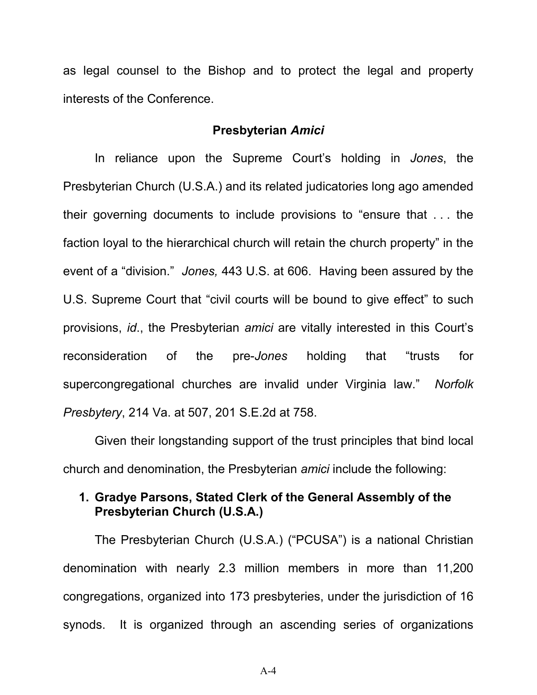as legal counsel to the Bishop and to protect the legal and property interests of the Conference.

#### **Presbyterian** *Amici*

In reliance upon the Supreme Court's holding in *Jones*, the Presbyterian Church (U.S.A.) and its related judicatories long ago amended their governing documents to include provisions to "ensure that . . . the faction loyal to the hierarchical church will retain the church property" in the event of a "division." *Jones,* 443 U.S. at 606. Having been assured by the U.S. Supreme Court that "civil courts will be bound to give effect" to such provisions, *id*., the Presbyterian *amici* are vitally interested in this Court's reconsideration of the pre-*Jones* holding that "trusts for supercongregational churches are invalid under Virginia law." *Norfolk Presbytery*, 214 Va. at 507, 201 S.E.2d at 758.

Given their longstanding support of the trust principles that bind local church and denomination, the Presbyterian *amici* include the following:

## **1. Gradye Parsons, Stated Clerk of the General Assembly of the Presbyterian Church (U.S.A.)**

The Presbyterian Church (U.S.A.) ("PCUSA") is a national Christian denomination with nearly 2.3 million members in more than 11,200 congregations, organized into 173 presbyteries, under the jurisdiction of 16 synods. It is organized through an ascending series of organizations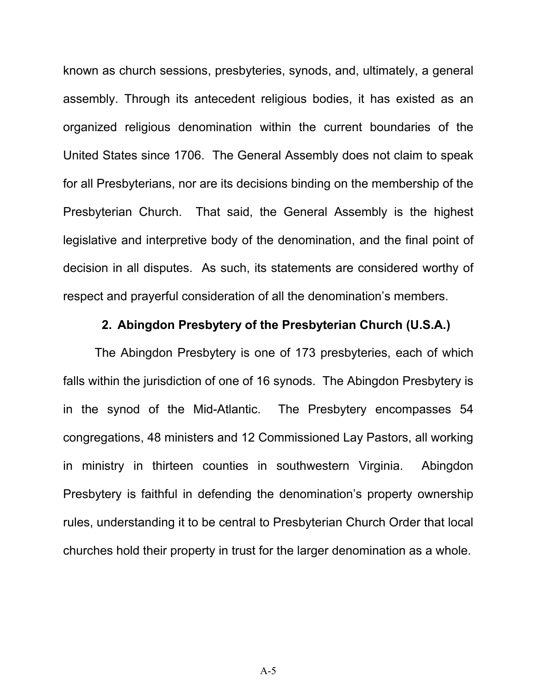known as church sessions, presbyteries, synods, and, ultimately, a general assembly. Through its antecedent religious bodies, it has existed as an organized religious denomination within the current boundaries of the United States since 1706. The General Assembly does not claim to speak for all Presbyterians, nor are its decisions binding on the membership of the Presbyterian Church. That said, the General Assembly is the highest legislative and interpretive body of the denomination, and the final point of decision in all disputes. As such, its statements are considered worthy of respect and prayerful consideration of all the denomination's members.

#### **2. Abingdon Presbytery of the Presbyterian Church (U.S.A.)**

The Abingdon Presbytery is one of 173 presbyteries, each of which falls within the jurisdiction of one of 16 synods. The Abingdon Presbytery is in the synod of the Mid-Atlantic. The Presbytery encompasses 54 congregations, 48 ministers and 12 Commissioned Lay Pastors, all working in ministry in thirteen counties in southwestern Virginia. Abingdon Presbytery is faithful in defending the denomination's property ownership rules, understanding it to be central to Presbyterian Church Order that local churches hold their property in trust for the larger denomination as a whole.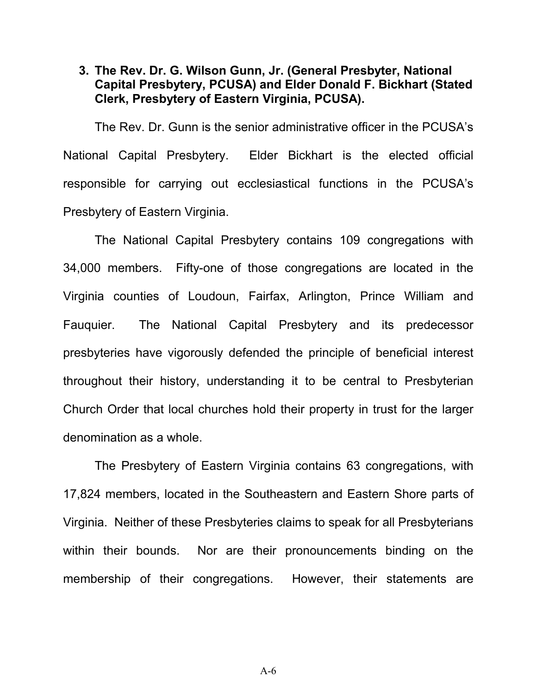#### **3. The Rev. Dr. G. Wilson Gunn, Jr. (General Presbyter, National Capital Presbytery, PCUSA) and Elder Donald F. Bickhart (Stated Clerk, Presbytery of Eastern Virginia, PCUSA).**

The Rev. Dr. Gunn is the senior administrative officer in the PCUSA's National Capital Presbytery. Elder Bickhart is the elected official responsible for carrying out ecclesiastical functions in the PCUSA's Presbytery of Eastern Virginia.

The National Capital Presbytery contains 109 congregations with 34,000 members. Fifty-one of those congregations are located in the Virginia counties of Loudoun, Fairfax, Arlington, Prince William and Fauquier. The National Capital Presbytery and its predecessor presbyteries have vigorously defended the principle of beneficial interest throughout their history, understanding it to be central to Presbyterian Church Order that local churches hold their property in trust for the larger denomination as a whole.

The Presbytery of Eastern Virginia contains 63 congregations, with 17,824 members, located in the Southeastern and Eastern Shore parts of Virginia. Neither of these Presbyteries claims to speak for all Presbyterians within their bounds. Nor are their pronouncements binding on the membership of their congregations. However, their statements are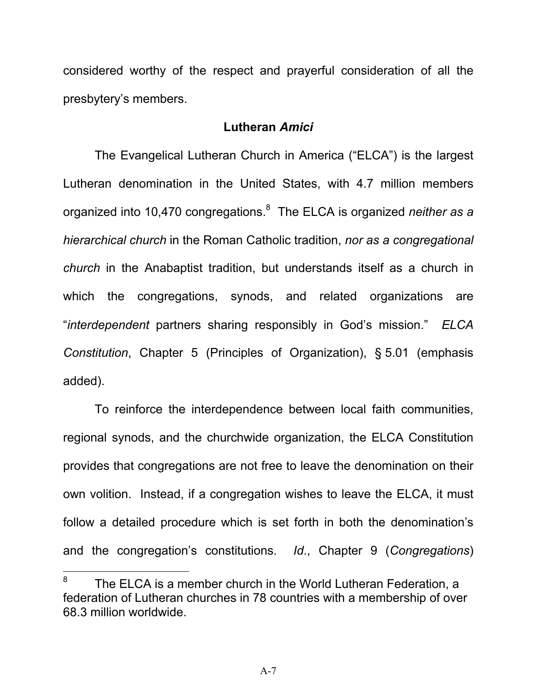considered worthy of the respect and prayerful consideration of all the presbytery's members.

#### **Lutheran** *Amici*

The Evangelical Lutheran Church in America ("ELCA") is the largest Lutheran denomination in the United States, with 4.7 million members organized into 10,470 congregations.<sup>8</sup> The ELCA is organized *neither as a hierarchical church* in the Roman Catholic tradition, *nor as a congregational church* in the Anabaptist tradition, but understands itself as a church in which the congregations, synods, and related organizations are "*interdependent* partners sharing responsibly in God's mission." *ELCA Constitution*, Chapter 5 (Principles of Organization), § 5.01 (emphasis added).

To reinforce the interdependence between local faith communities, regional synods, and the churchwide organization, the ELCA Constitution provides that congregations are not free to leave the denomination on their own volition. Instead, if a congregation wishes to leave the ELCA, it must follow a detailed procedure which is set forth in both the denomination's and the congregation's constitutions. *Id*., Chapter 9 (*Congregations*)

 $\overline{a}$ 

<sup>8</sup> The ELCA is a member church in the World Lutheran Federation, a federation of Lutheran churches in 78 countries with a membership of over 68.3 million worldwide.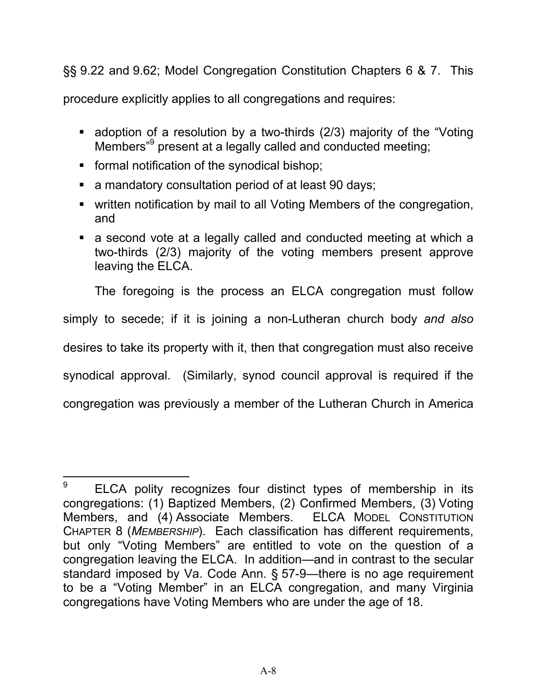§§ 9.22 and 9.62; Model Congregation Constitution Chapters 6 & 7. This

procedure explicitly applies to all congregations and requires:

- adoption of a resolution by a two-thirds (2/3) majority of the "Voting Members<sup>"9</sup> present at a legally called and conducted meeting;
- **formal notification of the synodical bishop;**
- a mandatory consultation period of at least 90 days;
- written notification by mail to all Voting Members of the congregation, and
- a second vote at a legally called and conducted meeting at which a two-thirds (2/3) majority of the voting members present approve leaving the ELCA.

The foregoing is the process an ELCA congregation must follow

simply to secede; if it is joining a non-Lutheran church body *and also* 

desires to take its property with it, then that congregation must also receive

synodical approval. (Similarly, synod council approval is required if the

congregation was previously a member of the Lutheran Church in America

<sup>9</sup> ELCA polity recognizes four distinct types of membership in its congregations: (1) Baptized Members, (2) Confirmed Members, (3) Voting Members, and (4) Associate Members. ELCA MODEL CONSTITUTION CHAPTER 8 (*MEMBERSHIP*). Each classification has different requirements, but only "Voting Members" are entitled to vote on the question of a congregation leaving the ELCA. In addition—and in contrast to the secular standard imposed by Va. Code Ann. § 57-9—there is no age requirement to be a "Voting Member" in an ELCA congregation, and many Virginia congregations have Voting Members who are under the age of 18.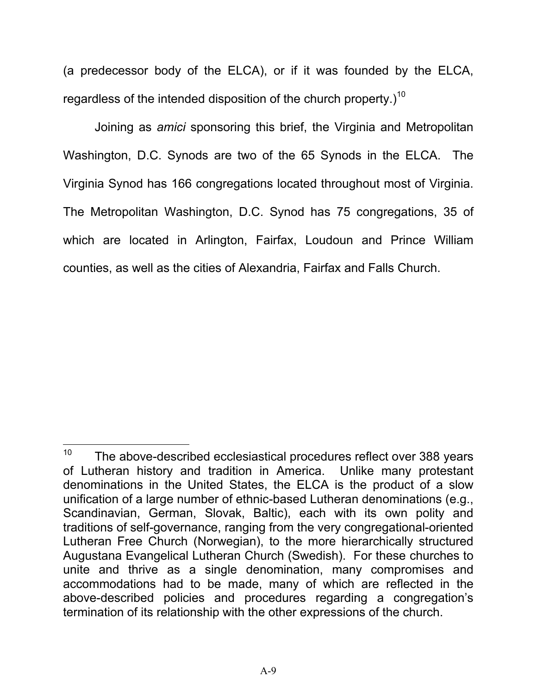(a predecessor body of the ELCA), or if it was founded by the ELCA, regardless of the intended disposition of the church property.)<sup>10</sup>

Joining as *amici* sponsoring this brief, the Virginia and Metropolitan Washington, D.C. Synods are two of the 65 Synods in the ELCA. The Virginia Synod has 166 congregations located throughout most of Virginia. The Metropolitan Washington, D.C. Synod has 75 congregations, 35 of which are located in Arlington, Fairfax, Loudoun and Prince William counties, as well as the cities of Alexandria, Fairfax and Falls Church.

 $\overline{a}$ 

 $10$  The above-described ecclesiastical procedures reflect over 388 years of Lutheran history and tradition in America. Unlike many protestant denominations in the United States, the ELCA is the product of a slow unification of a large number of ethnic-based Lutheran denominations (e.g., Scandinavian, German, Slovak, Baltic), each with its own polity and traditions of self-governance, ranging from the very congregational-oriented Lutheran Free Church (Norwegian), to the more hierarchically structured Augustana Evangelical Lutheran Church (Swedish). For these churches to unite and thrive as a single denomination, many compromises and accommodations had to be made, many of which are reflected in the above-described policies and procedures regarding a congregation's termination of its relationship with the other expressions of the church.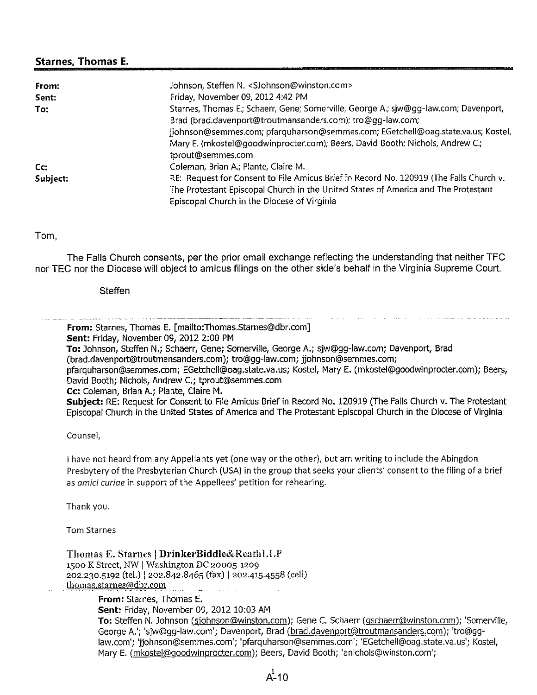#### **Starnes, Thomas E.**

| From:    | Johnson, Steffen N. < SJohnson@winston.com>                                            |
|----------|----------------------------------------------------------------------------------------|
| Sent:    | Friday, November 09, 2012 4:42 PM                                                      |
| To:      | Starnes, Thomas E.; Schaerr, Gene; Somerville, George A.; sjw@qq-law.com; Davenport,   |
|          | Brad (brad.davenport@troutmansanders.com); tro@gg-law.com;                             |
|          | jjohnson@semmes.com; pfarquharson@semmes.com; EGetchell@oag.state.va.us; Kostel,       |
|          | Mary E. (mkostel@goodwinprocter.com); Beers, David Booth; Nichols, Andrew C.;          |
|          | tprout@semmes.com                                                                      |
| Cc:      | Coleman, Brian A.; Plante, Claire M.                                                   |
| Subject: | RE: Request for Consent to File Amicus Brief in Record No. 120919 (The Falls Church v. |
|          | The Protestant Episcopal Church in the United States of America and The Protestant     |
|          | Episcopal Church in the Diocese of Virginia                                            |

Tom,

The Falls Church consents, per the prior email exchange reflecting the understanding that neither TFC nor TEC nor the Diocese will object to amicus filings on the other side's behalf in the Virginia Supreme Court.

**Steffen** 

**From:** Starnes, Thomas E. [mailto:Thomas.Starnes@dbr.com] Sent: Friday, November 09, 2012 2:00 PM To: Johnson, Steffen N.; Schaerr, Gene; Somerville, George A.; sjw@gg-law.com; Davenport, Brad (brad.davenport@troutmansanders.com); tro@qq-law.com; jjohnson@semmes.com; pfarquharson@semmes.com; EGetchell@oag.state.va.us; Kostel, Mary E. (mkostel@goodwinprocter.com); Beers, David Booth; Nichols, Andrew C.; tprout@semmes.com Cc: Coleman, Brian A.; Plante, Claire M. Subject: RE: Request for Consent to File Amicus Brief in Record No. 120919 (The Falls Church v. The Protestant Episcopal Church in the United States of America and The Protestant Episcopal Church in the Diocese of Virginia Counsel, I have not heard from any Appellants yet (one way or the other), but am writing to include the Abingdon Presbytery of the Presbyterian Church (USA) in the group that seeks your clients' consent to the filing of a brief as amici curiae in support of the Appellees' petition for rehearing. Thank you. **Tom Starnes** Thomas E. Starnes | DrinkerBiddle&ReathLLP 1500 K Street, NW | Washington DC 20005-1209 202.230.5192 (tel.) | 202.842.8465 (fax) | 202.415.4558 (cell) thomas.starnes@dbr.com From: Starnes, Thomas E. Sent: Friday, November 09, 2012 10:03 AM

To: Steffen N. Johnson (sjohnson@winston.com); Gene C. Schaerr (gschaerr@winston.com); 'Somerville, George A.'; 'siw@qq-law.com'; Davenport, Brad (brad.davenport@troutmansanders.com); 'tro@qqlaw.com'; 'jiohnson@semmes.com'; 'pfarquharson@semmes.com'; 'EGetchell@oag.state.va.us'; Kostel, Mary E. (mkostel@qoodwinprocter.com); Beers, David Booth; 'anichols@winston.com';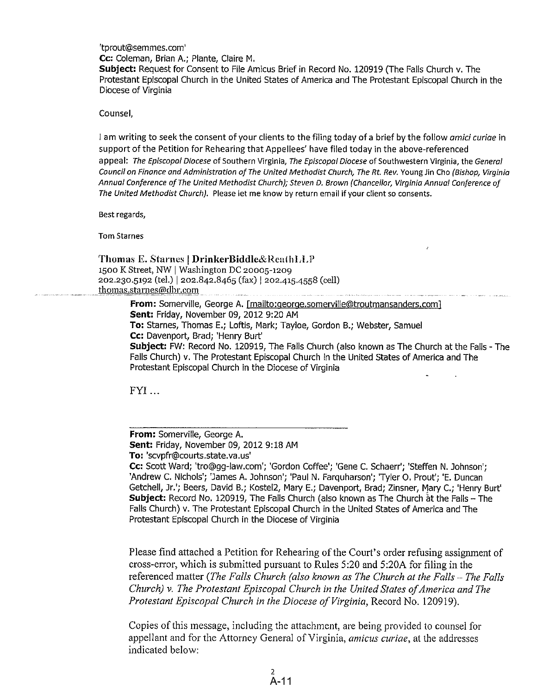'tprout@semmes.com'

Cc: Coleman, Brian A.; Plante, Claire M.

Subject: Request for Consent to File Amicus Brief in Record No. 120919 (The Falls Church v. The Protestant Episcopal Church in the United States of America and The Protestant Episcopal Church in the Diocese of Virginia

Counsel.

I am writing to seek the consent of your clients to the filing today of a brief by the follow *amici curige* in support of the Petition for Rehearing that Appellees' have filed today in the above-referenced appeal: The Episcopal Diocese of Southern Virginia, The Episcopal Diocese of Southwestern Virginia, the General Council on Finance and Administration of The United Methodist Church, The Rt. Rev. Young Jin Cho (Bishop, Virginia Annual Conference of The United Methodist Church); Steven D. Brown (Chancellor, Virginia Annual Conference of The United Methodist Church). Please let me know by return email if your client so consents.

Best regards,

**Tom Starnes** 

Thomas E. Starnes | DrinkerBiddle&ReathLLP 1500 K Street, NW | Washington DC 20005-1209 202.230.5192 (tel.) | 202.842.8465 (fax) | 202.415.4558 (cell) thomas.starnes@dbr.com

> From: Somerville, George A. [mailto:george.somerville@troutmansanders.com] Sent: Friday, November 09, 2012 9:20 AM To: Starnes, Thomas E.; Loftis, Mark; Tayloe, Gordon B.; Webster, Samuel Cc: Davenport, Brad; 'Henry Burt' Subject: FW: Record No. 120919, The Falls Church (also known as The Church at the Falls - The Falls Church) v. The Protestant Episcopal Church in the United States of America and The Protestant Episcopal Church in the Diocese of Virginia

FYI...

From: Somerville, George A. Sent: Friday, November 09, 2012 9:18 AM To: 'scvpfr@courts.state.va.us' Cc: Scott Ward; 'tro@gg-law.com'; 'Gordon Coffee'; 'Gene C. Schaerr'; 'Steffen N. Johnson'; 'Andrew C. Nichols'; 'James A. Johnson'; 'Paul N. Farquharson'; 'Tyler O. Prout'; 'E. Duncan Getchell, Jr.'; Beers, David B.; Kostel2, Mary E.; Davenport, Brad; Zinsner, Mary C.; 'Henry Burt' Subject: Record No. 120919, The Falls Church (also known as The Church at the Falls - The Falls Church) v. The Protestant Episcopal Church in the United States of America and The Protestant Episcopal Church in the Diocese of Virginia

Please find attached a Petition for Rehearing of the Court's order refusing assignment of cross-error, which is submitted pursuant to Rules 5:20 and 5:20A for filing in the referenced matter (The Falls Church (also known as The Church at the Falls - The Falls Church) v. The Protestant Episcopal Church in the United States of America and The Protestant Episcopal Church in the Diocese of Virginia, Record No. 120919).

Copies of this message, including the attachment, are being provided to counsel for appellant and for the Attorney General of Virginia, amicus curiae, at the addresses indicated below: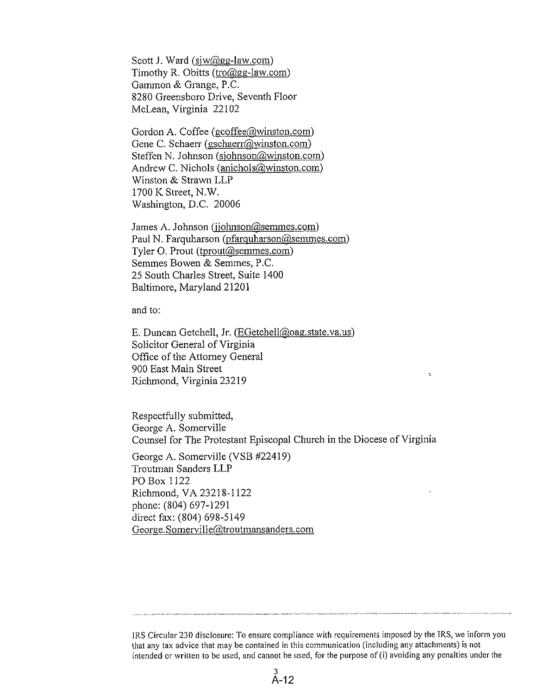Scott J. Ward  $(siw@gg$ -law.com) Timothy R. Obitts (tro@gg-law.com) Gammon & Grange, P.C. 8280 Greensboro Drive, Seventh Floor McLean, Virginia 22102

Gordon A. Coffee (gcoffee@winston.com) Gene C. Schaerr (gschaerr@winston.com) Steffen N. Johnson (sjohnson@winston.com) Andrew C. Nichols (anichols@winston.com) Winston & Strawn LLP 1700 K Street, N.W. Washington, D.C. 20006

James A. Johnson (jjohnson@semmes.com) Paul N. Farquharson (pfarquharson@semmes.com) Tyler O. Prout (tprout@semmes.com) Semmes Bowen & Semmes, P.C. 25 South Charles Street, Suite 1400 Baltimore, Maryland 21201

and to:

E. Duncan Getchell, Jr. (EGetchell@oag.state.va.us) Solicitor General of Virginia Office of the Attorney General 900 East Main Street Richmond, Virginia 23219

Respectfully submitted, George A. Somerville Counsel for The Protestant Episcopal Church in the Diocese of Virginia

George A. Somerville (VSB #22419) Troutman Sanders LLP PO Box 1122 Richmond, VA 23218-1122 phone: (804) 697-1291 direct fax: (804) 698-5149 George.Somerville@troutmansanders.com

IRS Circular 230 disclosure: To ensure compliance with requirements imposed by the IRS, we inform you that any tax advice that may be contained in this communication (including any attachments) is not intended or written to be used, and cannot be used, for the purpose of (i) avoiding any penalties under the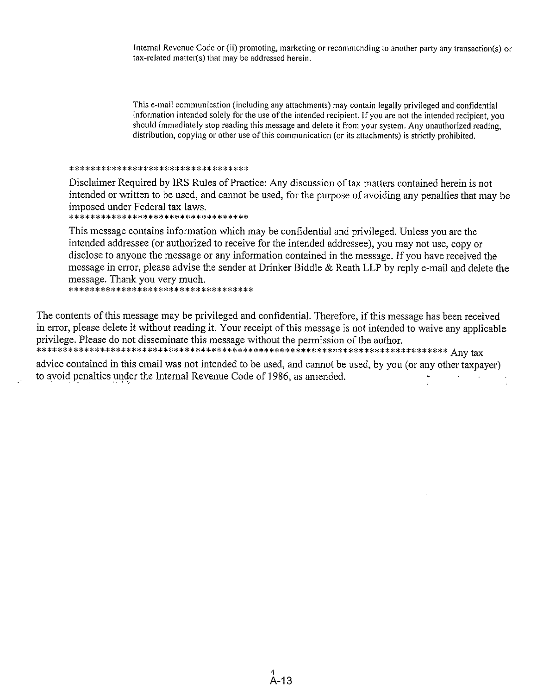Internal Revenue Code or (ii) promoting, marketing or recommending to another party any transaction(s) or tax-related matter(s) that may be addressed herein.

This e-mail communication (including any attachments) may contain legally privileged and confidential information intended solely for the use of the intended recipient. If you are not the intended recipient, you should immediately stop reading this message and delete it from your system. Any unauthorized reading, distribution, copying or other use of this communication (or its attachments) is strictly prohibited.

#### \*\*\*\*\*\*\*\*\*\*\*\*\*\*\*\*\*\*\*\*\*\*\*\*\*\*\*\*\*\*\*\*\*\*

Disclaimer Required by IRS Rules of Practice: Any discussion of tax matters contained herein is not intended or written to be used, and cannot be used, for the purpose of avoiding any penalties that may be imposed under Federal tax laws.

\*\*\*\*\*\*\*\*\*\*\*\*\*\*\*\*\*\*\*\*\*\*\*\*\*\*\*\*\*\*\*\*\*\*\*\*

This message contains information which may be confidential and privileged. Unless you are the intended addressee (or authorized to receive for the intended addressee), you may not use, copy or disclose to anyone the message or any information contained in the message. If you have received the message in error, please advise the sender at Drinker Biddle & Reath LLP by reply e-mail and delete the message. Thank you very much.

\*\*\*\*\*\*\*\*\*\*\*\*\*\*\*\*\*\*\*\*\*\*\*\*\*\*\*\*\*\*\*\*\*\*\*\*

The contents of this message may be privileged and confidential. Therefore, if this message has been received in error, please delete it without reading it. Your receipt of this message is not intended to waive any applicable privilege. Please do not disseminate this message without the permission of the author. 

advice contained in this email was not intended to be used, and cannot be used, by you (or any other taxpayer) to avoid penalties under the Internal Revenue Code of 1986, as amended.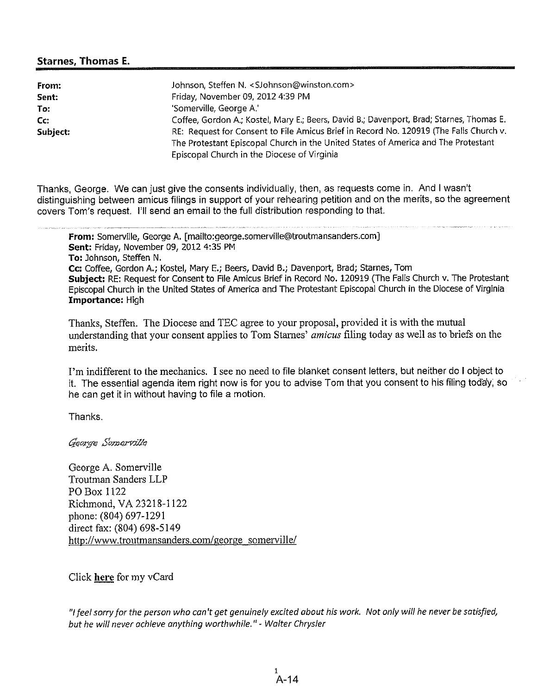#### **Starnes, Thomas E.**

| From:    | Johnson, Steffen N. <sjohnson@winston.com></sjohnson@winston.com>                        |
|----------|------------------------------------------------------------------------------------------|
| Sent:    | Friday, November 09, 2012 4:39 PM                                                        |
| To:      | 'Somerville, George A.'                                                                  |
| Cc.      | Coffee, Gordon A.; Kostel, Mary E.; Beers, David B.; Davenport, Brad; Starnes, Thomas E. |
| Subject: | RE: Request for Consent to File Amicus Brief in Record No. 120919 (The Falls Church v.   |
|          | The Protestant Episcopal Church in the United States of America and The Protestant       |
|          | Episcopal Church in the Diocese of Virginia                                              |

Thanks, George. We can just give the consents individually, then, as requests come in. And I wasn't distinguishing between amicus filings in support of your rehearing petition and on the merits, so the agreement covers Tom's request. I'll send an email to the full distribution responding to that.

From: Somerville, George A. [mailto:george.somerville@troutmansanders.com] Sent: Friday, November 09, 2012 4:35 PM To: Johnson, Steffen N. Cc: Coffee, Gordon A.; Kostel, Mary E.; Beers, David B.; Davenport, Brad; Starnes, Tom Subject: RE: Request for Consent to File Amicus Brief in Record No. 120919 (The Falls Church v. The Protestant Episcopal Church in the United States of America and The Protestant Episcopal Church in the Diocese of Virginia Importance: High

Thanks, Steffen. The Diocese and TEC agree to your proposal, provided it is with the mutual understanding that your consent applies to Tom Starnes' amicus filing today as well as to briefs on the merits.

I'm indifferent to the mechanics. I see no need to file blanket consent letters, but neither do I object to it. The essential agenda item right now is for you to advise Tom that you consent to his filing today, so he can get it in without having to file a motion.

Thanks.

George Somerville

George A. Somerville **Troutman Sanders LLP** PO Box 1122 Richmond, VA 23218-1122 phone: (804) 697-1291 direct fax: (804) 698-5149 http://www.troutmansanders.com/george somerville/

Click here for my vCard

"I feel sorry for the person who can't get genuinely excited about his work. Not only will he never be satisfied, but he will never achieve anything worthwhile." - Walter Chrysler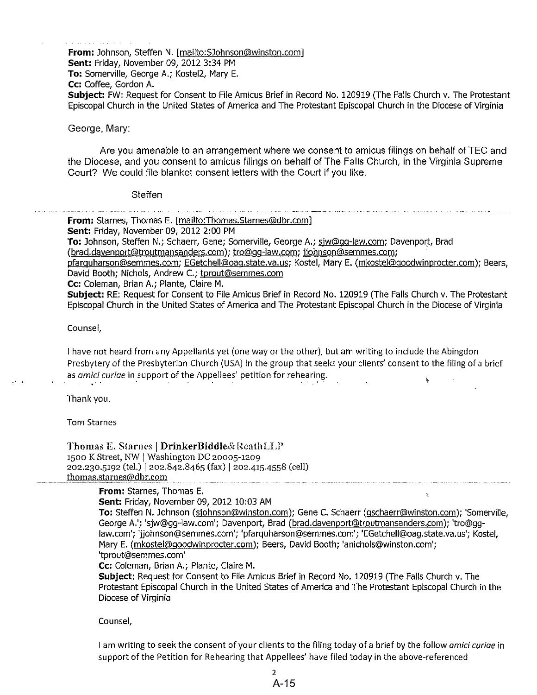From: Johnson, Steffen N. [mailto: SJohnson@winston.com] Sent: Friday, November 09, 2012 3:34 PM To: Somerville, George A.; Kostel2, Mary E. Cc: Coffee. Gordon A. Subject: FW: Request for Consent to File Amicus Brief in Record No. 120919 (The Falls Church v. The Protestant Episcopal Church in the United States of America and The Protestant Episcopal Church in the Diocese of Virginia

#### George, Mary:

Are you amenable to an arrangement where we consent to amicus filings on behalf of TEC and the Diocese, and you consent to amicus filings on behalf of The Falls Church, in the Virginia Supreme Court? We could file blanket consent letters with the Court if you like.

#### Steffen

**From:** Starnes, Thomas E, [mailto:Thomas.Starnes@dbr.com]

Sent: Friday, November 09, 2012 2:00 PM

To: Johnson, Steffen N.; Schaerr, Gene; Somerville, George A.; siw@gq-law.com; Davenport, Brad (brad.davenport@troutmansanders.com); tro@qq-law.com; jjohnson@semmes.com;

pfarquharson@semmes.com; EGetchell@oaq.state.va.us; Kostel, Mary E. (mkostel@goodwinprocter.com); Beers, David Booth; Nichols, Andrew C.; tprout@semmes.com

Cc: Coleman, Brian A.; Plante, Claire M.

Subject: RE: Request for Consent to File Amicus Brief in Record No. 120919 (The Falls Church v. The Protestant Episcopal Church in the United States of America and The Protestant Episcopal Church in the Diocese of Virginia

#### Counsel,

I have not heard from any Appellants yet (one way or the other), but am writing to include the Abingdon Presbytery of the Presbyterian Church (USA) in the group that seeks your clients' consent to the filing of a brief as amici curiae in support of the Appellees' petition for rehearing.  $\mathbf{L}$ 

Thank vou.

Tom Starnes

Thomas E. Starnes | DrinkerBiddle& ReathLLP 1500 K Street, NW | Washington DC 20005-1209 202.230.5192 (tel.) | 202.842.8465 (fax) | 202.415.4558 (cell) thomas.starnes@dbr.com

#### From: Starnes, Thomas E.

Sent: Friday, November 09, 2012 10:03 AM

To: Steffen N. Johnson (sjohnson@winston.com); Gene C. Schaerr (gschaerr@winston.com); 'Somerville, George A.'; 'siw@gg-law.com'; Davenport, Brad (brad.davenport@troutmansanders.com); 'tro@gglaw.com'; 'jjohnson@semmes.com'; 'pfarquharson@semmes.com'; 'EGetchell@oag.state.va.us'; Kostel, Mary E. (mkostel@qoodwinprocter.com); Beers, David Booth; 'anichols@winston.com'; 'tprout@semmes.com'

 $\overline{z}$ 

Cc: Coleman, Brian A.; Plante, Claire M.

Subject: Request for Consent to File Amicus Brief in Record No. 120919 (The Falls Church v. The Protestant Episcopal Church in the United States of America and The Protestant Episcopal Church in the Diocese of Virginia

Counsel,

I am writing to seek the consent of your clients to the filing today of a brief by the follow *amici curige* in support of the Petition for Rehearing that Appellees' have filed today in the above-referenced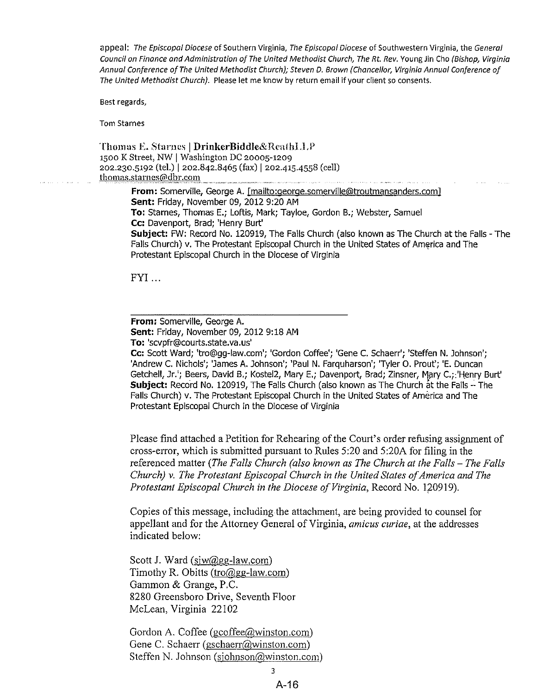appeal: The Episcopal Diocese of Southern Virginia, The Episcopal Diocese of Southwestern Virginia, the General Council on Finance and Administration of The United Methodist Church, The Rt. Rev. Young Jin Cho (Bishop, Virginia Annual Conference of The United Methodist Church); Steven D. Brown (Chancellor, Virginia Annual Conference of The United Methodist Church). Please let me know by return email if your client so consents.

Best regards,

**Tom Starnes** 

Thomas E. Starnes | DrinkerBiddle&ReathLLP 1500 K Street, NW | Washington DC 20005-1209 202.230.5192 (tel.) | 202.842.8465 (fax) | 202.415.4558 (cell) thomas.starnes@dbr.com From: Somerville, George A. [mailto:george.somerville@troutmansanders.com]

Sent: Friday, November 09, 2012 9:20 AM To: Starnes, Thomas E.; Loftis, Mark; Tayloe, Gordon B.; Webster, Samuel Cc: Davenport, Brad; 'Henry Burt' Subject: FW: Record No. 120919, The Falls Church (also known as The Church at the Falls - The Falls Church) v. The Protestant Episcopal Church in the United States of America and The Protestant Episcopal Church in the Diocese of Virginia

 $FYI...$ 

From: Somerville, George A. Sent: Friday, November 09, 2012 9:18 AM To: 'scvpfr@courts.state.va.us'

Cc: Scott Ward; 'tro@gg-law.com'; 'Gordon Coffee'; 'Gene C. Schaerr'; 'Steffen N. Johnson'; 'Andrew C. Nichols'; 'James A. Johnson'; 'Paul N. Farguharson'; 'Tyler O. Prout'; 'E. Duncan Getchell, Jr.'; Beers, David B.; Kostel2, Mary E.; Davenport, Brad; Zinsner, Mary C.; 'Henry Burt' Subject: Record No. 120919, The Falls Church (also known as The Church at the Falls - The Falls Church) v. The Protestant Episcopal Church in the United States of America and The Protestant Episcopal Church in the Diocese of Virginia

Please find attached a Petition for Rehearing of the Court's order refusing assignment of cross-error, which is submitted pursuant to Rules 5:20 and 5:20A for filing in the referenced matter (The Falls Church (also known as The Church at the Falls - The Falls Church) v. The Protestant Episcopal Church in the United States of America and The Protestant Episcopal Church in the Diocese of Virginia, Record No. 120919).

Copies of this message, including the attachment, are being provided to counsel for appellant and for the Attorney General of Virginia, *amicus curiae*, at the addresses indicated below:

Scott J. Ward (siw@gg-law.com) Timothy R. Obitts (tro@gg-law.com) Gammon & Grange, P.C. 8280 Greensboro Drive, Seventh Floor McLean, Virginia 22102

Gordon A. Coffee ( $\text{gcofree}(a)$ winston.com) Gene C. Schaerr (gschaerr@winston.com) Steffen N. Johnson (sjohnson@winston.com)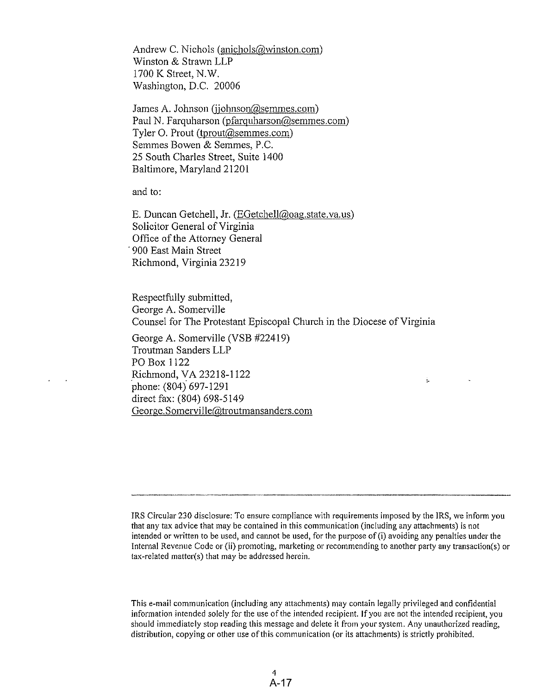Andrew C. Nichols (anichols@winston.com) Winston & Strawn LLP 1700 K Street, N.W. Washington, D.C. 20006

James A. Johnson (jjohnson@semmes.com) Paul N. Farquharson (pfarquharson@semmes.com) Tyler O. Prout (tprout@semmes.com) Semmes Bowen & Semmes, P.C. 25 South Charles Street, Suite 1400 Baltimore, Maryland 21201

and to:

E. Duncan Getchell, Jr. (EGetchell@oag.state.va.us) Solicitor General of Virginia Office of the Attorney General 900 East Main Street Richmond, Virginia 23219

Respectfully submitted, George A. Somerville Counsel for The Protestant Episcopal Church in the Diocese of Virginia

George A. Somerville (VSB #22419) Troutman Sanders LLP PO Box 1122 Richmond, VA 23218-1122 phone: (804) 697-1291 direct fax: (804) 698-5149 George.Somerville@troutmansanders.com

÷.

This e-mail communication (including any attachments) may contain legally privileged and confidential information intended solely for the use of the intended recipient. If you are not the intended recipient, you should immediately stop reading this message and delete it from your system. Any unauthorized reading, distribution, copying or other use of this communication (or its attachments) is strictly prohibited.

IRS Circular 230 disclosure: To ensure compliance with requirements imposed by the IRS, we inform you that any tax advice that may be contained in this communication (including any attachments) is not intended or written to be used, and cannot be used, for the purpose of (i) avoiding any penalties under the Internal Revenue Code or (ii) promoting, marketing or recommending to another party any transaction(s) or tax-related matter(s) that may be addressed herein.